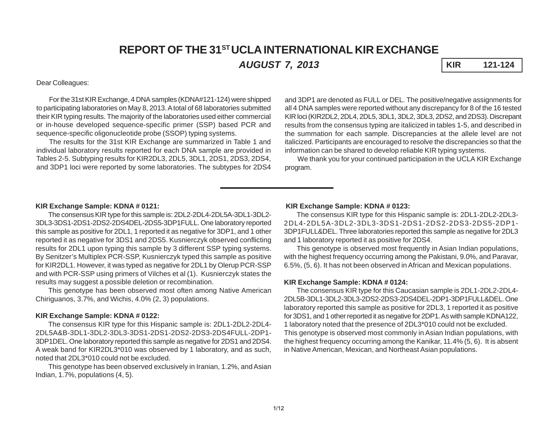# **REPORT OF THE 31ST UCLA INTERNATIONAL KIR EXCHANGE** *AUGUST 7, 2013* **KIR 121-124**

Dear Colleagues:

For the 31st KIR Exchange, 4 DNA samples (KDNA#121-124) were shipped to participating laboratories on May 8, 2013. A total of 68 laboratories submitted their KIR typing results. The majority of the laboratories used either commercial or in-house developed sequence-specific primer (SSP) based PCR and sequence-specific oligonucleotide probe (SSOP) typing systems.

The results for the 31st KIR Exchange are summarized in Table 1 and individual laboratory results reported for each DNA sample are provided in Tables 2-5. Subtyping results for KIR2DL3, 2DL5, 3DL1, 2DS1, 2DS3, 2DS4, and 3DP1 loci were reported by some laboratories. The subtypes for 2DS4 and 3DP1 are denoted as FULL or DEL. The positive/negative assignments for all 4 DNA samples were reported without any discrepancy for 8 of the 16 tested KIR loci (KIR2DL2, 2DL4, 2DL5, 3DL1, 3DL2, 3DL3, 2DS2, and 2DS3). Discrepant results from the consensus typing are italicized in tables 1-5, and described in the summation for each sample. Discrepancies at the allele level are not italicized. Participants are encouraged to resolve the discrepancies so that the information can be shared to develop reliable KIR typing systems.

We thank you for your continued participation in the UCLA KIR Exchange program.

# **KIR Exchange Sample: KDNA # 0121:**

The consensus KIR type for this sample is: 2DL2-2DL4-2DL5A-3DL1-3DL2- 3DL3-3DS1-2DS1-2DS2-2DS4DEL-2DS5-3DP1FULL. One laboratory reported this sample as positive for 2DL1, 1 reported it as negative for 3DP1, and 1 other reported it as negative for 3DS1 and 2DS5. Kusnierczyk observed conflicting results for 2DL1 upon typing this sample by 3 different SSP typing systems. By Senitzer's Multiplex PCR-SSP, Kusnierczyk typed this sample as positive for KIR2DL1. However, it was typed as negative for 2DL1 by Olerup PCR-SSP and with PCR-SSP using primers of Vilches et al (1). Kusnierczyk states the results may suggest a possible deletion or recombination.

This genotype has been observed most often among Native American Chiriguanos, 3.7%, and Wichis, 4.0% (2, 3) populations.

### **KIR Exchange Sample: KDNA # 0122:**

The consensus KIR type for this Hispanic sample is: 2DL1-2DL2-2DL4- 2DL5A&B-3DL1-3DL2-3DL3-3DS1-2DS1-2DS2-2DS3-2DS4FULL-2DP1- 3DP1DEL. One laboratory reported this sample as negative for 2DS1 and 2DS4. A weak band for KIR2DL3\*010 was observed by 1 laboratory, and as such, noted that 2DL3\*010 could not be excluded.

This genotype has been observed exclusively in Iranian, 1.2%, and Asian Indian, 1.7%, populations (4, 5).

#### **KIR Exchange Sample: KDNA # 0123:**

The consensus KIR type for this Hispanic sample is: 2DL1-2DL2-2DL3- 2DL4-2DL5A-3DL2-3DL3-3DS1-2DS1-2DS2-2DS3-2DS5-2DP1- 3DP1FULL&DEL. Three laboratories reported this sample as negative for 2DL3 and 1 laboratory reported it as positive for 2DS4.

This genotype is observed most frequently in Asian Indian populations, with the highest frequency occurring among the Pakistani, 9.0%, and Paravar, 6.5%, (5, 6). It has not been observed in African and Mexican populations.

#### **KIR Exchange Sample: KDNA # 0124:**

The consensus KIR type for this Caucasian sample is 2DL1-2DL2-2DL4- 2DL5B-3DL1-3DL2-3DL3-2DS2-2DS3-2DS4DEL-2DP1-3DP1FULL&DEL. One laboratory reported this sample as positive for 2DL3, 1 reported it as positive for 3DS1, and 1 other reported it as negative for 2DP1. As with sample KDNA122, 1 laboratory noted that the presence of 2DL3\*010 could not be excluded. This genotype is observed most commonly in Asian Indian populations, with the highest frequency occurring among the Kanikar, 11.4% (5, 6). It is absent in Native American, Mexican, and Northeast Asian populations.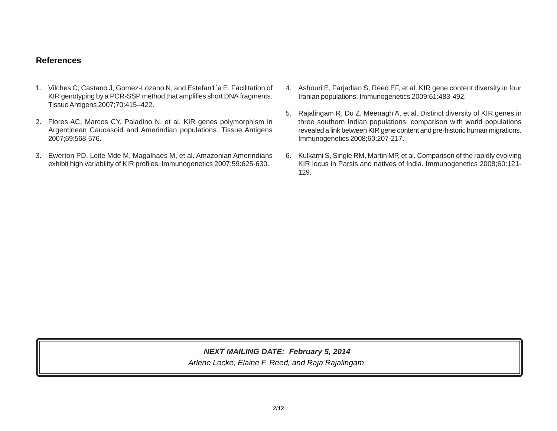# **References**

- 1. Vilches C, Castano J, Gomez-Lozano N, and Estefan1´a E. Facilitation of KIR genotyping by a PCR-SSP method that amplifies short DNA fragments. Tissue Antigens 2007;70:415–422.
- 2. Flores AC, Marcos CY, Paladino N, et al. KIR genes polymorphism in Argentinean Caucasoid and Amerindian populations. Tissue Antigens 2007;69:568-576.
- 3. Ewerton PD, Leite Mde M, Magalhaes M, et al. Amazonian Amerindians exhibit high variability of KIR profiles. Immunogenetics 2007;59:625-630.
- 4. Ashouri E, Farjadian S, Reed EF, et al. KIR gene content diversity in four Iranian populations. Immunogenetics 2009;61:483-492.
- 5. Rajalingam R, Du Z, Meenagh A, et al. Distinct diversity of KIR genes in three southern Indian populations: comparison with world populations revealed a link between KIR gene content and pre-historic human migrations. Immunogenetics 2008;60:207-217.
- 6. Kulkarni S, Single RM, Martin MP, et al. Comparison of the rapidly evolving KIR locus in Parsis and natives of India. Immunogenetics 2008;60:121- 129.

*Arlene Locke, Elaine F. Reed, and Raja Rajalingam NEXT MAILING DATE: February 5, 2014*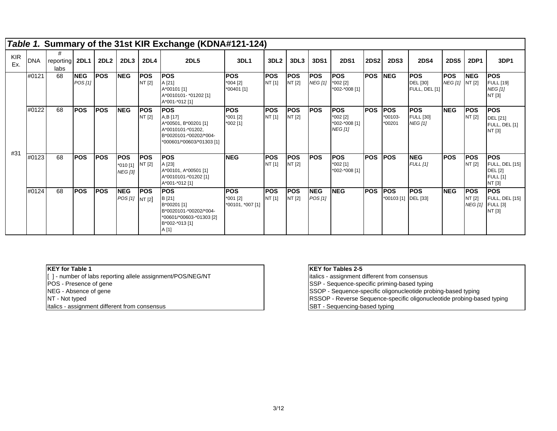|                   |            |                             |                       |             |                                          |                      | Table 1. Summary of the 31st KIR Exchange (KDNA#121-124)                                                                   |                                             |                      |                      |                              |                                                           |             |                                           |                                                  |                              |                                        |                                                                                    |
|-------------------|------------|-----------------------------|-----------------------|-------------|------------------------------------------|----------------------|----------------------------------------------------------------------------------------------------------------------------|---------------------------------------------|----------------------|----------------------|------------------------------|-----------------------------------------------------------|-------------|-------------------------------------------|--------------------------------------------------|------------------------------|----------------------------------------|------------------------------------------------------------------------------------|
| <b>KIR</b><br>Ex. | <b>DNA</b> | #<br>reporting 2DL1<br>labs |                       | <b>2DL2</b> | 2DL3                                     | <b>2DL4</b>          | <b>2DL5</b>                                                                                                                | 3DL1                                        | 3DL <sub>2</sub>     | 3DL3                 | 3DS1                         | <b>2DS1</b>                                               | <b>2DS2</b> | <b>2DS3</b>                               | <b>2DS4</b>                                      | <b>2DS5</b>                  | <b>2DP1</b>                            | 3DP1                                                                               |
|                   | #0121      | 68                          | <b>NEG</b><br>POS [1] | <b>POS</b>  | <b>NEG</b>                               | <b>POS</b><br>NT [2] | <b>IPOS</b><br>A [21]<br>A*00101 [1]<br>A*0010101- *01202 [1]<br>A*001-*012 [1]                                            | <b>POS</b><br>*004 [2]<br>*00401 [1]        | <b>POS</b><br>NT [1] | <b>POS</b><br>NT [2] | <b>POS</b><br><b>NEG</b> [1] | <b>POS</b><br>*002 [2]<br>*002-*008 [1]                   | <b>POS</b>  | <b>INEG</b>                               | <b>POS</b><br>DEL [30]<br>FULL, DEL [1]          | <b>POS</b><br>NEG [1] NT [2] | <b>NEG</b>                             | <b>POS</b><br><b>FULL</b> [19]<br><b>NEG</b> [1]<br>NT [3]                         |
|                   | #0122      | 68                          | <b>POS</b>            | <b>POS</b>  | <b>INEG</b>                              | <b>POS</b><br>NT [2] | <b>POS</b><br>A,B [17]<br>A*00501, B*00201 [1]<br>A*0010101-*01202,<br>B*0020101-*00202/*004-<br>*000601/*00603/*01303 [1] | <b>POS</b><br>*001 [2]<br>*002 [1]          | <b>POS</b><br>NT [1] | <b>POS</b><br>NT [2] | <b>POS</b>                   | <b>POS</b><br>*002 [2]<br>*002-*008 [1]<br><b>NEG [1]</b> | <b>POS</b>  | <b>IPOS</b><br>$*00103-$<br>*00201        | <b>POS</b><br><b>FULL</b> [30]<br><b>NEG [1]</b> | <b>NEG</b>                   | <b>POS</b><br>NT [2]                   | <b>POS</b><br><b>DEL</b> [21]<br>FULL, DEL [1]<br>NT [3]                           |
| #31               | #0123      | 68                          | <b>POS</b>            | <b>POS</b>  | <b>POS</b><br>*010 [1]<br><b>NEG [3]</b> | <b>POS</b><br>NT [2] | <b>POS</b><br>A [23]<br>A*00101, A*00501 [1]<br>A*0010101-*01202 [1]<br>A*001-*012 [1]                                     | <b>NEG</b>                                  | <b>POS</b><br>NT [1] | <b>POS</b><br>NT [2] | <b>POS</b>                   | <b>POS</b><br>*002 [1]<br>*002-*008 [1]                   | <b>POS</b>  | <b>IPOS</b>                               | <b>NEG</b><br><b>FULL</b> [1]                    | <b>POS</b>                   | <b>POS</b><br>NT [2]                   | <b>POS</b><br><b>FULL, DEL [15]</b><br><b>DEL</b> [2]<br><b>FULL</b> [1]<br>NT [3] |
|                   | #0124      | 68                          | <b>POS</b>            | <b>POS</b>  | <b>NEG</b><br>POS [1] NT [2]             | <b>POS</b>           | <b>POS</b><br>B [21]<br>B*00201 [1]<br>B*0020101-*00202/*004-<br>*00601/*00603-*01303 [2]<br>B*002-*013 [1]<br>A [1]       | <b>IPOS</b><br>*001 [2]<br>*00101, *007 [1] | <b>POS</b><br>NT [1] | <b>POS</b><br>NT [2] | <b>NEG</b><br>POS[1]         | <b>NEG</b>                                                | <b>POS</b>  | <b>IPOS</b><br>*00103 [1] <b>DEL</b> [33] | <b>POS</b>                                       | <b>NEG</b>                   | <b>POS</b><br>NT [2]<br><b>NEG</b> [1] | <b>POS</b><br>FULL, DEL [15]<br><b>FULL</b> [3]<br>NT [3]                          |

|  | <b>IKEY for Table 1</b> |  |
|--|-------------------------|--|
|  |                         |  |

italics - assignment different from consensus [ ] - number of labs reporting allele assignment/POS/NEG/NT POS - Presence of gene  $\sim$  SSP - Sequence-specific priming-based typing NEG - Absence of gene NT - Not typed

# **KEY for Tables 2-5**

italics - assignment different from consensus

SSOP - Sequence-specific oligonucleotide probing-based typing

RSSOP - Reverse Sequence-specific oligonucleotide probing-based typing

SBT - Sequencing-based typing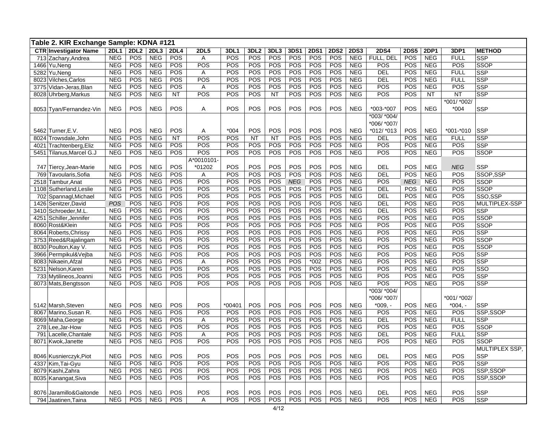|      | Table 2. KIR Exchange Sample: KDNA #121 |                          |             |                          |            |                  |            |                  |            |            |             |             |                          |             |             |                          |             |                           |
|------|-----------------------------------------|--------------------------|-------------|--------------------------|------------|------------------|------------|------------------|------------|------------|-------------|-------------|--------------------------|-------------|-------------|--------------------------|-------------|---------------------------|
|      | <b>CTR Investigator Name</b>            | 2DL1                     | <b>2DL2</b> | 2DL3                     | 2DL4       | <b>2DL5</b>      | 3DL1       | 3DL <sub>2</sub> | 3DL3       | 3DS1       | <b>2DS1</b> | <b>2DS2</b> | <b>2DS3</b>              | <b>2DS4</b> | <b>2DS5</b> | 2DP1                     | 3DP1        | <b>METHOD</b>             |
|      | 713 Zachary, Andrea                     | <b>NEG</b>               | POS         | <b>NEG</b>               | POS        | Α                | POS        | POS              | POS        | POS        | POS         | POS         | <b>NEG</b>               | FULL, DEL   | POS         | <b>NEG</b>               | <b>FULL</b> | <b>SSP</b>                |
|      | 1466 Yu, Neng                           | <b>NEG</b>               | POS         | <b>NEG</b>               | POS        | POS              | POS        | POS              | POS        | POS        | POS         | POS         | <b>NEG</b>               | POS         | POS         | <b>NEG</b>               | POS         | <b>SSOP</b>               |
|      | 5282 Yu, Neng                           | <b>NEG</b>               | POS         | <b>NEG</b>               | POS        | A                | POS        | POS              | POS        | POS        | POS         | POS         | <b>NEG</b>               | <b>DEL</b>  | POS         | <b>NEG</b>               | <b>FULL</b> | <b>SSP</b>                |
|      | 8023 Vilches, Carlos                    | <b>NEG</b>               | POS         | <b>NEG</b>               | POS        | POS              | POS        | POS              | POS        | POS        | POS         | POS         | <b>NEG</b>               | <b>DEL</b>  | POS         | <b>NEG</b>               | <b>FULL</b> | <b>SSP</b>                |
|      | 3775 Vidan-Jeras, Blan                  | <b>NEG</b>               | POS         | <b>NEG</b>               | POS        | A                | POS        | POS              | POS        | POS        | POS         | POS         | <b>NEG</b>               | POS         | POS         | <b>NEG</b>               | POS         | <b>SSP</b>                |
|      | 8028 Uhrberg, Markus                    | <b>NEG</b>               | POS         | <b>NEG</b>               | <b>NT</b>  | POS              | POS        | POS              | <b>NT</b>  | POS        | POS         | POS         | <b>NEG</b>               | POS         | POS         | <b>NT</b>                | <b>NT</b>   | <b>SSP</b>                |
|      |                                         |                          |             |                          |            |                  |            |                  |            |            |             |             |                          |             |             |                          | *001/ *002/ |                           |
|      | 8053 Tyan/Fernandez-Vin                 | <b>NEG</b>               | POS         | <b>NEG</b>               | POS        | Α                | POS        | POS              | POS        | POS        | POS         | POS         | <b>NEG</b>               | *003-*007   | POS         | <b>NEG</b>               | $*004$      | <b>SSP</b>                |
|      |                                         |                          |             |                          |            |                  |            |                  |            |            |             |             |                          | *003/ *004/ |             |                          |             |                           |
|      |                                         |                          |             |                          |            |                  |            |                  |            |            |             |             |                          | *006/ *007/ |             |                          |             |                           |
|      | 5462 Turner, E.V.                       | <b>NEG</b>               | POS         | <b>NEG</b>               | POS        | Α                | $*004$     | POS              | POS        | POS        | POS         | POS         | <b>NEG</b>               | *012/ *013  | POS         | <b>NEG</b>               | *001-*010   | <b>SSP</b>                |
|      | 8024 Trowsdale, John                    | <b>NEG</b>               | POS         | <b>NEG</b>               | <b>NT</b>  | POS              | POS        | <b>NT</b>        | <b>NT</b>  | POS        | POS         | POS         | <b>NEG</b>               | <b>DEL</b>  | POS         | <b>NEG</b>               | <b>FULL</b> | <b>SSP</b>                |
|      | 4021 Trachtenberg, Eliz                 | <b>NEG</b>               | POS         | <b>NEG</b>               | <b>POS</b> | POS              | POS        | <b>POS</b>       | <b>POS</b> | <b>POS</b> | <b>POS</b>  | POS         | <b>NEG</b>               | <b>POS</b>  | POS         | <b>NEG</b>               | <b>POS</b>  | <b>SSP</b>                |
|      | 5451 Tilanus, Marcel G.J                | <b>NEG</b>               | POS         | <b>NEG</b>               | POS        | POS              | POS        | POS              | POS        | POS        | POS         | POS         | <b>NEG</b>               | POS         | POS         | <b>NEG</b>               | POS         | <b>SSOP</b>               |
|      |                                         |                          |             |                          |            | A*0010101        |            |                  |            |            |             |             |                          |             |             |                          |             |                           |
|      | 747 Tiercy, Jean-Marie                  | <b>NEG</b>               | POS         | <b>NEG</b>               | POS        | *01202           | POS        | POS              | POS        | POS        | POS         | POS         | <b>NEG</b>               | <b>DEL</b>  | POS         | <b>NEG</b>               | <b>NEG</b>  | <b>SSP</b>                |
| 769  | Tavoularis, Sofia                       | <b>NEG</b>               | POS         | <b>NEG</b>               | POS        | A                | POS        | POS              | POS        | POS        | POS         | POS         | <b>NEG</b>               | <b>DEL</b>  | POS         | <b>NEG</b>               | POS         | SSOP,SSP                  |
|      | 2518 Tambur, Anat                       | <b>NEG</b>               | POS         | <b>NEG</b>               | POS        | POS              | POS        | POS              | POS        | <b>NEG</b> | POS         | POS         | <b>NEG</b>               | POS         | <b>NEG</b>  | <b>NEG</b>               | POS         | <b>SSOP</b>               |
|      | 1108 Sutherland, Leslie                 | <b>NEG</b>               | POS         | <b>NEG</b>               | POS        | POS              | POS        | POS              | POS        | POS        | POS         | POS         | <b>NEG</b>               | DEL         | POS         | <b>NEG</b>               | POS         | <b>SSOP</b>               |
|      | 702 Spannagl, Michael                   | <b>NEG</b>               | POS         | <b>NEG</b>               | POS        | POS              | POS        | <b>POS</b>       | POS        | POS        | <b>POS</b>  | POS         | <b>NEG</b>               | <b>DEL</b>  | POS         | <b>NEG</b>               | POS         | SSO.SSP                   |
| 1426 | Senitzer, David                         | POS                      | POS         | <b>NEG</b>               | POS        | $\overline{POS}$ | POS        | POS              | POS        | POS        | POS         | POS         | <b>NEG</b>               | <b>DEL</b>  | POS         | <b>NEG</b>               | POS         | MULTIPLEX-SSP             |
|      | 3410 Schroeder, M.L                     | <b>NEG</b>               | POS         | <b>NEG</b>               | POS        | POS              | POS        | <b>POS</b>       | <b>POS</b> | POS        | POS         | POS         | <b>NEG</b>               | DEL         | POS         | <b>NEG</b>               | <b>POS</b>  | <b>SSP</b>                |
|      | 4251 Schiller, Jennifer                 | <b>NEG</b>               | POS         | <b>NEG</b>               | POS        | POS              | POS        | <b>POS</b>       | POS        | POS        | POS         | POS         | <b>NEG</b>               | POS         | POS         | <b>NEG</b>               | POS         | SSOP                      |
|      | 8060 Rost&Klein                         | <b>NEG</b>               | POS         | <b>NEG</b>               | POS        | POS              | POS        | POS              | POS        | POS        | <b>POS</b>  | POS         | <b>NEG</b>               | POS         | POS         | <b>NEG</b>               | <b>POS</b>  | <b>SSOP</b>               |
|      | 8064 Roberts, Chrissy                   | <b>NEG</b>               | POS         | <b>NEG</b>               | POS        | POS              | POS        | POS              | POS        | POS        | POS         | POS         | <b>NEG</b>               | POS         | POS         | <b>NEG</b>               | POS         | <b>SSP</b>                |
|      | 3753 Reed&Rajalingam                    | <b>NEG</b>               | POS         | <b>NEG</b>               | <b>POS</b> | POS<br>POS       | POS<br>POS | POS              | POS<br>POS | POS<br>POS | POS         | POS         | <b>NEG</b>               | POS<br>POS  | POS         | <b>NEG</b>               | POS<br>POS  | <b>SSOP</b>               |
|      | 8030 Poulton, Kay V.                    | <b>NEG</b>               | POS         | <b>NEG</b>               | POS<br>POS | POS              | POS        | POS<br>POS       | POS        | POS        | POS<br>POS  | POS<br>POS  | <b>NEG</b><br><b>NEG</b> | POS         | POS<br>POS  | <b>NEG</b>               | POS         | <b>SSOP</b><br><b>SSP</b> |
|      | 3966 Permpikul&Vejba                    | <b>NEG</b><br><b>NEG</b> | POS<br>POS  | <b>NEG</b><br><b>NEG</b> | POS        | A                | POS        | POS              | <b>POS</b> | POS        | $*002$      | POS         | <b>NEG</b>               | POS         | POS         | <b>NEG</b><br><b>NEG</b> | POS         | <b>SSP</b>                |
|      | 8083 Nikaein, Afzal                     | <b>NEG</b>               | POS         | <b>NEG</b>               | POS        | $\overline{POS}$ | POS        | POS              | POS        | POS        | POS         | POS         | <b>NEG</b>               | POS         | POS         | <b>NEG</b>               | POS         | SSO                       |
|      | 5231 Nelson, Karen                      | <b>NEG</b>               | POS         | <b>NEG</b>               | POS        | POS              | POS        | POS              | POS        | POS        | POS         | POS         | <b>NEG</b>               | POS         | POS         | <b>NEG</b>               | POS         | <b>SSP</b>                |
|      | 733 Mytilineos, Joanni                  | <b>NEG</b>               | POS         | <b>NEG</b>               | POS        | POS              | POS        | POS              | POS        | POS        | POS         | POS         | <b>NEG</b>               | POS         | POS         | <b>NEG</b>               | POS         | <b>SSP</b>                |
|      | 8073 Mats, Bengtsson                    |                          |             |                          |            |                  |            |                  |            |            |             |             |                          | *003/ *004/ |             |                          |             |                           |
|      |                                         |                          |             |                          |            |                  |            |                  |            |            |             |             |                          | *006/ *007/ |             |                          | *001/ *002/ |                           |
|      | 5142 Marsh, Steven                      | <b>NEG</b>               | POS         | <b>NEG</b>               | POS        | POS              | $*00401$   | POS              | POS        | POS        | POS         | POS         | <b>NEG</b>               | $*009, -$   | POS         | <b>NEG</b>               | $*004, -$   | <b>SSP</b>                |
|      | 8067 Marino, Susan R.                   | <b>NEG</b>               | POS         | <b>NEG</b>               | POS        | POS              | POS        | POS              | POS        | POS        | POS         | POS         | <b>NEG</b>               | POS         | POS         | <b>NEG</b>               | POS         | SSP,SSOP                  |
|      | 8069 Maha, George                       | <b>NEG</b>               | POS         | <b>NEG</b>               | POS        | Α                | POS        | POS              | POS        | POS        | POS         | POS         | <b>NEG</b>               | DEL         | POS         | <b>NEG</b>               | <b>FULL</b> | <b>SSP</b>                |
|      | 278 Lee, Jar-How                        | <b>NEG</b>               | POS         | <b>NEG</b>               | POS        | POS              | POS        | POS              | POS        | POS        | POS         | POS         | <b>NEG</b>               | POS         | POS         | <b>NEG</b>               | POS         | <b>SSOP</b>               |
|      | 791 Lacelle.Chantale                    | <b>NEG</b>               | POS         | <b>NEG</b>               | POS        | Α                | POS        | POS              | POS        | POS        | POS         | POS         | <b>NEG</b>               | <b>DEL</b>  | POS         | <b>NEG</b>               | <b>FULL</b> | <b>SSP</b>                |
|      | 8071 Kwok, Janette                      | <b>NEG</b>               | POS         | <b>NEG</b>               | POS        | $\overline{POS}$ | POS        | POS              | POS        | POS        | POS         | POS         | <b>NEG</b>               | POS         | POS         | <b>NEG</b>               | POS         | <b>SSOP</b>               |
|      |                                         |                          |             |                          |            |                  |            |                  |            |            |             |             |                          |             |             |                          |             | MULTIPLEX SSP,            |
|      | 8046 Kusnierczyk, Piot                  | <b>NEG</b>               | POS         | <b>NEG</b>               | POS        | POS              | POS        | POS              | POS        | POS        | POS         | POS         | <b>NEG</b>               | <b>DEL</b>  | POS         | <b>NEG</b>               | POS         | <b>SSP</b>                |
|      | 4337 Kim, Tai-Gyu                       | <b>NEG</b>               | POS         | <b>NEG</b>               | POS        | POS              | POS        | POS              | POS        | POS        | POS         | POS         | <b>NEG</b>               | POS         | POS         | <b>NEG</b>               | POS         | <b>SSP</b>                |
|      | 8079 Kashi, Zahra                       | <b>NEG</b>               | POS         | <b>NEG</b>               | <b>POS</b> | <b>POS</b>       | POS        | POS              | <b>POS</b> | <b>POS</b> | <b>POS</b>  | POS         | <b>NEG</b>               | POS         | POS         | <b>NEG</b>               | POS         | SSP,SSOP                  |
|      | 8035 Kanangat, Siva                     | <b>NEG</b>               | POS         | <b>NEG</b>               | POS        | POS              | POS        | POS              | POS        | POS        | POS         | POS         | <b>NEG</b>               | POS         | POS         | <b>NEG</b>               | POS         | SSP,SSOP                  |
|      |                                         |                          |             |                          |            |                  |            |                  |            |            |             |             |                          |             |             |                          |             |                           |
|      | 8076 Jaramillo&Gaitonde                 | <b>NEG</b>               | POS         | <b>NEG</b>               | POS        | POS              | POS        | POS              | POS        | POS        | POS         | POS         | <b>NEG</b>               | <b>DEL</b>  | POS         | <b>NEG</b>               | POS         | <b>SSP</b>                |
|      | 794 Jaatinen, Taina                     | <b>NEG</b>               | POS         | <b>NEG</b>               | POS        | Α                | POS        | POS              | POS        | POS        | POS         | POS         | <b>NEG</b>               | POS         | POS         | <b>NEG</b>               | POS         | <b>SSP</b>                |
|      |                                         |                          |             |                          |            |                  |            |                  |            |            |             |             |                          |             |             |                          |             |                           |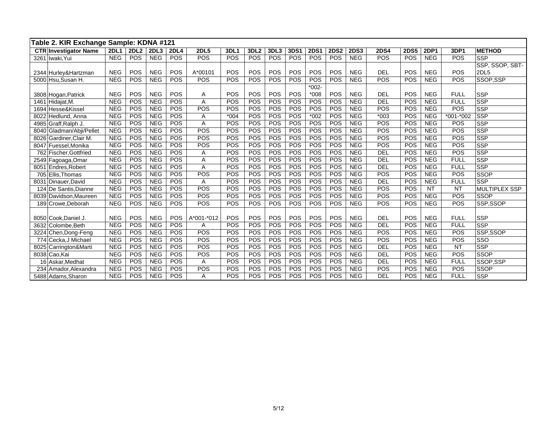|      | Table 2. KIR Exchange Sample: KDNA #121 |             |      |            |             |             |             |                  |            |      |             |             |             |             |             |             |                  |                      |
|------|-----------------------------------------|-------------|------|------------|-------------|-------------|-------------|------------------|------------|------|-------------|-------------|-------------|-------------|-------------|-------------|------------------|----------------------|
|      | <b>CTR Investigator Name</b>            | <b>2DL1</b> | 2DL2 | 2DL3       | <b>2DL4</b> | <b>2DL5</b> | <b>3DL1</b> | 3DL <sub>2</sub> | 3DL3       | 3DS1 | <b>2DS1</b> | <b>2DS2</b> | <b>2DS3</b> | <b>2DS4</b> | <b>2DS5</b> | <b>2DP1</b> | 3DP1             | <b>METHOD</b>        |
|      | 3261 Iwaki, Yui                         | <b>NEG</b>  | POS  | <b>NEG</b> | <b>POS</b>  | POS         | POS         | POS              | POS        | POS  | POS         | POS         | <b>NEG</b>  | POS         | POS         | <b>NEG</b>  | POS              | <b>SSP</b>           |
|      |                                         |             |      |            |             |             |             |                  |            |      |             |             |             |             |             |             |                  | SSP, SSOP, SBT-      |
|      | 2344 Hurley& Hartzman                   | <b>NEG</b>  | POS  | <b>NEG</b> | POS         | A*00101     | POS         | POS              | POS        | POS  | POS         | POS         | <b>NEG</b>  | <b>DEL</b>  | POS         | <b>NEG</b>  | POS              | 2DL5                 |
|      | 5000 Hsu, Susan H.                      | <b>NEG</b>  | POS  | <b>NEG</b> | POS         | <b>POS</b>  | POS         | <b>POS</b>       | <b>POS</b> | POS  | POS         | POS         | <b>NEG</b>  | POS         | POS         | <b>NEG</b>  | $\overline{POS}$ | SSOP,SSP             |
|      |                                         |             |      |            |             |             |             |                  |            |      | $*002-$     |             |             |             |             |             |                  |                      |
|      | 3808 Hogan, Patrick                     | <b>NEG</b>  | POS  | <b>NEG</b> | <b>POS</b>  | Α           | POS         | POS              | POS        | POS  | $*008$      | POS         | <b>NEG</b>  | <b>DEL</b>  | POS         | <b>NEG</b>  | <b>FULL</b>      | <b>SSP</b>           |
|      | 1461 Hidajat, M.                        | <b>NEG</b>  | POS  | <b>NEG</b> | POS         | A           | POS         | POS              | POS        | POS  | POS         | POS         | <b>NEG</b>  | DEL         | POS         | <b>NEG</b>  | <b>FULL</b>      | <b>SSP</b>           |
|      | 1694 Hesse&Kissel                       | <b>NEG</b>  | POS  | <b>NEG</b> | POS         | POS         | POS         | POS              | POS        | POS  | POS         | POS         | <b>NEG</b>  | POS         | POS         | <b>NEG</b>  | POS              | <b>SSP</b>           |
|      | 8022 Hedlund, Anna                      | <b>NEG</b>  | POS  | <b>NEG</b> | POS         | Α           | $*004$      | POS              | POS        | POS  | $*002$      | POS         | <b>NEG</b>  | $*003$      | POS         | <b>NEG</b>  | *001-*002        | <b>SSP</b>           |
|      | 4985 Graff, Ralph J.                    | <b>NEG</b>  | POS  | <b>NEG</b> | POS         | A           | POS         | POS              | POS        | POS  | POS         | POS         | <b>NEG</b>  | POS         | POS         | <b>NEG</b>  | POS              | <b>SSP</b>           |
|      | 8040 Gladman/Abji/Pellet                | <b>NEG</b>  | POS  | <b>NEG</b> | <b>POS</b>  | <b>POS</b>  | POS         | <b>POS</b>       | POS        | POS  | POS         | POS         | <b>NEG</b>  | POS         | POS         | NEG         | POS              | <b>SSP</b>           |
|      | 8026 Gardiner, Clair M.                 | <b>NEG</b>  | POS  | <b>NEG</b> | POS         | POS         | POS         | POS              | POS        | POS  | POS         | POS         | <b>NEG</b>  | POS         | POS         | <b>NEG</b>  | POS              | <b>SSP</b>           |
|      | 8047 Fuessel, Monika                    | <b>NEG</b>  | POS  | <b>NEG</b> | POS         | POS         | POS         | <b>POS</b>       | <b>POS</b> | POS  | POS         | POS         | <b>NEG</b>  | POS         | POS         | NEG         | POS              | <b>SSP</b>           |
|      | 762 Fischer.Gottfried                   | <b>NEG</b>  | POS  | <b>NEG</b> | POS         | Α           | POS         | POS              | POS        | POS  | POS         | POS         | <b>NEG</b>  | DEL         | POS         | <b>NEG</b>  | POS              | <b>SSP</b>           |
|      | 2549 Fagoaga, Omar                      | <b>NEG</b>  | POS  | <b>NEG</b> | POS         | Α           | POS         | POS              | POS        | POS  | POS         | POS         | <b>NEG</b>  | DEL         | POS         | <b>NEG</b>  | <b>FULL</b>      | <b>SSP</b>           |
| 8051 | Endres, Robert                          | <b>NEG</b>  | POS  | <b>NEG</b> | POS         | A           | POS         | POS              | POS        | POS  | POS         | POS         | <b>NEG</b>  | <b>DEL</b>  | POS         | <b>NEG</b>  | <b>FULL</b>      | <b>SSP</b>           |
|      | 705 Ellis. Thomas                       | <b>NEG</b>  | POS  | <b>NEG</b> | POS         | POS         | POS         | POS              | POS        | POS  | POS         | POS         | <b>NEG</b>  | POS         | POS         | <b>NEG</b>  | POS              | <b>SSOP</b>          |
|      | 8031 Dinauer David                      | <b>NEG</b>  | POS  | <b>NEG</b> | POS         | Α           | POS         | POS              | POS        | POS  | POS         | POS         | <b>NEG</b>  | <b>DEL</b>  | POS         | <b>NEG</b>  | <b>FULL</b>      | <b>SSP</b>           |
|      | 124 De Santis, Dianne                   | <b>NEG</b>  | POS  | <b>NEG</b> | POS         | POS         | POS         | POS              | POS        | POS  | POS         | POS         | <b>NEG</b>  | POS         | POS         | <b>NT</b>   | <b>NT</b>        | <b>MULTIPLEX SSP</b> |
|      | 8039 Davidson, Maureen                  | <b>NEG</b>  | POS  | <b>NEG</b> | POS         | POS         | POS         | POS              | POS        | POS  | POS         | POS         | <b>NEG</b>  | POS         | POS         | <b>NEG</b>  | POS              | <b>SSOP</b>          |
|      | 189 Crowe, Deborah                      | <b>NEG</b>  | POS  | <b>NEG</b> | POS         | POS         | POS         | POS              | POS        | POS  | POS         | POS         | <b>NEG</b>  | POS         | POS         | <b>NEG</b>  | POS              | SSP,SSOP             |
|      |                                         |             |      |            |             |             |             |                  |            |      |             |             |             |             |             |             |                  |                      |
|      | 8050 Cook, Daniel J.                    | <b>NEG</b>  | POS  | <b>NEG</b> | POS         | A*001-*012  | POS         | POS              | POS        | POS  | POS         | POS         | <b>NEG</b>  | <b>DEL</b>  | POS         | <b>NEG</b>  | <b>FULL</b>      | <b>SSP</b>           |
|      | 3632 Colombe.Beth                       | <b>NEG</b>  | POS  | <b>NEG</b> | POS         | A           | POS         | POS              | POS        | POS  | POS         | POS         | <b>NEG</b>  | <b>DEL</b>  | POS         | <b>NEG</b>  | <b>FULL</b>      | <b>SSP</b>           |
|      | 3224 Chen, Dong-Feng                    | <b>NEG</b>  | POS  | <b>NEG</b> | <b>POS</b>  | POS         | POS         | POS              | POS        | POS  | POS         | POS         | <b>NEG</b>  | POS         | POS         | <b>NEG</b>  | POS              | SSP,SSOP             |
|      | 774 Cecka, J Michael                    | <b>NEG</b>  | POS  | <b>NEG</b> | POS         | POS         | POS         | POS              | POS        | POS  | POS         | POS         | <b>NEG</b>  | POS         | POS         | <b>NEG</b>  | POS              | SSO                  |
|      | 8025 Carrington&Marti                   | <b>NEG</b>  | POS  | <b>NEG</b> | POS         | POS         | POS         | POS              | POS        | POS  | POS         | POS         | <b>NEG</b>  | <b>DEL</b>  | POS         | <b>NEG</b>  | <b>NT</b>        | <b>SSP</b>           |
|      | 8038 Cao, Kai                           | <b>NEG</b>  | POS  | <b>NEG</b> | POS         | POS         | POS         | POS              | POS        | POS  | POS         | POS         | <b>NEG</b>  | DEL         | POS         | <b>NEG</b>  | POS              | <b>SSOP</b>          |
|      | 16 Askar, Medhat                        | <b>NEG</b>  | POS  | <b>NEG</b> | POS         | A           | POS         | POS              | POS        | POS  | POS         | POS         | <b>NEG</b>  | <b>DEL</b>  | POS         | <b>NEG</b>  | <b>FULL</b>      | SSOP,SSP             |
|      | 234 Amador, Alexandra                   | <b>NEG</b>  | POS  | <b>NEG</b> | POS         | POS         | POS         | POS              | POS        | POS  | POS         | POS         | <b>NEG</b>  | POS         | POS         | <b>NEG</b>  | POS              | <b>SSOP</b>          |
|      | 5488 Adams, Sharon                      | <b>NEG</b>  | POS  | <b>NEG</b> | <b>POS</b>  | A           | POS         | POS              | POS        | POS  | POS         | POS         | <b>NEG</b>  | <b>DEL</b>  | POS         | <b>NEG</b>  | <b>FULL</b>      | SSP                  |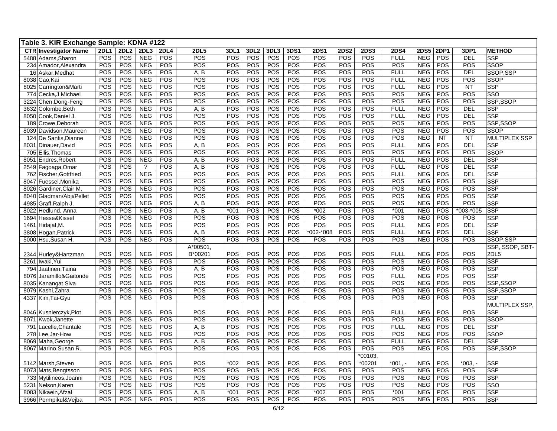| Table 3. KIR Exchange Sample: KDNA #122 |             |             |            |             |             |            |                  |      |      |                  |             |             |             |             |             |            |                      |
|-----------------------------------------|-------------|-------------|------------|-------------|-------------|------------|------------------|------|------|------------------|-------------|-------------|-------------|-------------|-------------|------------|----------------------|
| <b>CTR Investigator Name</b>            | <b>2DL1</b> | <b>2DL2</b> | 2DL3       | <b>2DL4</b> | <b>2DL5</b> | 3DL1       | 3DL <sub>2</sub> | 3DL3 | 3DS1 | 2D <sub>S1</sub> | <b>2DS2</b> | <b>2DS3</b> | <b>2DS4</b> | <b>2DS5</b> | <b>2DP1</b> | 3DP1       | <b>METHOD</b>        |
| Adams, Sharon<br>5488                   | POS         | POS         | <b>NEG</b> | POS         | POS         | POS        | POS              | POS  | POS  | POS              | POS         | POS         | <b>FULL</b> | <b>NEG</b>  | POS         | <b>DEL</b> | <b>SSP</b>           |
| 234<br>Amador, Alexandra                | POS         | POS         | <b>NEG</b> | POS         | POS         | POS        | POS              | POS  | POS  | POS              | POS         | POS         | POS         | <b>NEG</b>  | POS         | POS        | <b>SSOP</b>          |
| 16<br>Askar, Medhat                     | POS         | POS         | <b>NEG</b> | POS         | A, B        | POS        | POS              | POS  | POS  | POS              | POS         | POS         | <b>FULL</b> | <b>NEG</b>  | POS         | <b>DEL</b> | SSOP,SSP             |
| 8038 Cao, Kai                           | POS         | POS         | <b>NEG</b> | POS         | POS         | POS        | POS              | POS  | POS  | POS              | POS         | POS         | <b>FULL</b> | <b>NEG</b>  | POS         | POS        | <b>SSOP</b>          |
| 8025 Carrington&Marti                   | POS         | POS         | <b>NEG</b> | POS         | POS         | POS        | POS              | POS  | POS  | POS              | POS         | POS         | <b>FULL</b> | <b>NEG</b>  | POS         | <b>NT</b>  | <b>SSP</b>           |
| Cecka, J Michael<br>774                 | POS         | POS         | <b>NEG</b> | POS         | POS         | POS        | POS              | POS  | POS  | POS              | POS         | POS         | POS         | <b>NEG</b>  | POS         | POS        | SSO                  |
| 3224 Chen, Dong-Feng                    | POS         | POS         | <b>NEG</b> | POS         | <b>POS</b>  | POS        | POS              | POS  | POS  | POS              | POS         | POS         | POS         | <b>NEG</b>  | POS         | POS        | SSP,SSOP             |
| 3632 Colombe, Beth                      | POS         | POS         | <b>NEG</b> | POS         | A, B        | POS        | POS              | POS  | POS  | POS              | POS         | POS         | <b>FULL</b> | <b>NEG</b>  | POS         | <b>DEL</b> | <b>SSP</b>           |
| 8050 Cook, Daniel J                     | POS         | POS         | <b>NEG</b> | POS         | POS         | POS        | POS              | POS  | POS  | POS              | POS         | POS         | <b>FULL</b> | <b>NEG</b>  | POS         | <b>DEL</b> | <b>SSP</b>           |
| 189<br>Crowe, Deborah                   | POS         | POS         | <b>NEG</b> | POS         | POS         | POS        | POS              | POS  | POS  | POS              | POS         | POS         | POS         | <b>NEG</b>  | POS         | POS        | SSP, SSOP            |
| 8039<br>Davidson, Maureen               | POS         | POS         | <b>NEG</b> | POS         | POS         | POS        | POS              | POS  | POS  | POS              | <b>POS</b>  | POS         | POS         | <b>NEG</b>  | POS         | POS        | <b>SSOP</b>          |
| De Santis, Dianne<br>124                | POS         | POS         | <b>NEG</b> | POS         | POS         | POS        | POS              | POS  | POS  | POS              | POS         | POS         | POS         | <b>NEG</b>  | <b>NT</b>   | <b>NT</b>  | <b>MULTIPLEX SSP</b> |
| 8031 Dinauer, David                     | POS         | POS         | <b>NEG</b> | POS         | A, B        | POS        | POS              | POS  | POS  | POS              | POS         | POS         | <b>FULL</b> | <b>NEG</b>  | POS         | <b>DEL</b> | <b>SSP</b>           |
| 705 Ellis. Thomas                       | POS         | POS         | <b>NEG</b> | POS         | POS         | POS        | <b>POS</b>       | POS  | POS  | POS              | POS         | POS         | POS         | <b>NEG</b>  | POS         | POS        | <b>SSOP</b>          |
| 8051<br>Endres, Robert                  | POS         | POS         | <b>NEG</b> | POS         | A, B        | POS        | <b>POS</b>       | POS  | POS  | POS              | POS         | POS         | <b>FULL</b> | <b>NEG</b>  | POS         | <b>DEL</b> | <b>SSP</b>           |
| 2549 Fagoaga, Omar                      | POS         | POS         | $\ddot{?}$ | POS         | A, B        | POS        | POS              | POS  | POS  | POS              | <b>POS</b>  | POS         | <b>FULL</b> | <b>NEG</b>  | <b>POS</b>  | <b>DEL</b> | <b>SSP</b>           |
| 762 Fischer, Gottfried                  | POS         | POS         | <b>NEG</b> | POS         | POS         | POS        | POS              | POS  | POS  | POS              | POS         | POS         | <b>FULL</b> | <b>NEG</b>  | POS         | <b>DEL</b> | <b>SSP</b>           |
| 8047<br>Fuessel, Monika                 | POS         | POS         | <b>NEG</b> | POS         | <b>POS</b>  | <b>POS</b> | <b>POS</b>       | POS  | POS  | POS              | POS         | POS         | POS         | <b>NEG</b>  | POS         | POS        | <b>SSP</b>           |
| Gardiner, Clair M.<br>8026              | POS         | POS         | <b>NEG</b> | POS         | POS         | POS        | POS              | POS  | POS  | POS              | POS         | POS         | POS         | <b>NEG</b>  | POS         | POS        | <b>SSP</b>           |
| 8040<br>Gladman/Abji/Pellet             | POS         | POS         | <b>NEG</b> | POS         | POS         | POS        | POS              | POS  | POS  | POS              | <b>POS</b>  | POS         | POS         | <b>NEG</b>  | POS         | POS        | <b>SSP</b>           |
| 4985<br>Graff, Ralph J.                 | POS         | POS         | NEG        | POS         | A, B        | POS        | POS              | POS  | POS  | POS              | POS         | POS         | POS         | <b>NEG</b>  | POS         | POS        | <b>SSP</b>           |
| 8022<br>Hedlund, Anna                   | POS         | POS         | <b>NEG</b> | POS         | A, B        | $*001$     | POS              | POS  | POS  | $*002$           | POS         | POS         | $*001$      | <b>NEG</b>  | POS         | *003-*005  | <b>SSP</b>           |
| 1694<br>Hesse&Kissel                    | POS         | POS         | <b>NEG</b> | POS         | POS         | POS        | POS              | POS  | POS  | POS              | POS         | POS         | POS         | <b>NEG</b>  | POS         | POS        | <b>SSP</b>           |
| Hidajat, M.<br>1461                     | POS         | POS         | <b>NEG</b> | POS         | POS         | POS        | POS              | POS  | POS  | POS              | <b>POS</b>  | POS         | <b>FULL</b> | <b>NEG</b>  | POS         | <b>DEL</b> | <b>SSP</b>           |
| 3808 Hogan, Patrick                     | POS         | POS         | <b>NEG</b> | POS         | A, B        | POS        | POS              | POS  | POS  | *002-*008        | POS         | POS         | <b>FULL</b> | <b>NEG</b>  | POS         | <b>DEL</b> | SSP                  |
| 5000 Hsu, Susan H.                      | POS         | POS         | <b>NEG</b> | POS         | POS         | POS        | POS              | POS  | POS  | POS              | POS         | POS         | POS         | <b>NEG</b>  | POS         | POS        | SSOP,SSP             |
|                                         |             |             |            |             | A*00501,    |            |                  |      |      |                  |             |             |             |             |             |            | SSP, SSOP, SBT-      |
| 2344 Hurley&Hartzman                    | POS         | POS         | <b>NEG</b> | POS         | B*00201     | POS        | POS              | POS  | POS  | POS              | POS         | POS         | <b>FULL</b> | <b>NEG</b>  | POS         | POS        | 2DL5                 |
| 3261<br>Iwaki, Yui                      | POS         | POS         | <b>NEG</b> | POS         | POS         | POS        | POS              | POS  | POS  | POS              | POS         | POS         | POS         | <b>NEG</b>  | POS         | POS        | <b>SSP</b>           |
| 794 Jaatinen, Taina                     | POS         | POS         | <b>NEG</b> | POS         | A, B        | POS        | POS              | POS  | POS  | POS              | POS         | POS         | POS         | <b>NEG</b>  | POS         | POS        | <b>SSP</b>           |
| 8076<br>Jaramillo&Gaitonde              | POS         | POS         | <b>NEG</b> | POS         | POS         | POS        | POS              | POS  | POS  | POS              | POS         | POS         | <b>FULL</b> | <b>NEG</b>  | POS         | POS        | <b>SSP</b>           |
| 8035 Kanangat, Siva                     | POS         | POS         | <b>NEG</b> | POS         | <b>POS</b>  | POS        | POS              | POS  | POS  | POS              | POS         | POS         | POS         | <b>NEG</b>  | POS         | POS        | SSP,SSOP             |
| 8079 Kashi, Zahra                       | POS         | POS         | <b>NEG</b> | POS         | POS         | POS        | POS              | POS  | POS  | POS              | POS         | POS         | POS         | <b>NEG</b>  | POS         | POS        | SSP,SSOP             |
| 4337 Kim, Tai-Gyu                       | POS         | POS         | <b>NEG</b> | POS         | POS         | POS        | POS              | POS  | POS  | POS              | POS         | POS         | POS         | <b>NEG</b>  | POS         | POS        | <b>SSP</b>           |
|                                         |             |             |            |             |             |            |                  |      |      |                  |             |             |             |             |             |            | MULTIPLEX SSP.       |
| 8046 Kusnierczyk, Piot                  | POS         | POS         | <b>NEG</b> | POS         | POS         | POS        | POS              | POS  | POS  | POS              | POS         | POS         | <b>FULL</b> | <b>NEG</b>  | POS         | POS        | <b>SSP</b>           |
| Kwok, Janette<br>8071                   | POS         | POS         | <b>NEG</b> | POS         | POS         | POS        | POS              | POS  | POS  | POS              | POS         | POS         | POS         | <b>NEG</b>  | POS         | POS        | <b>SSOP</b>          |
| Lacelle, Chantale<br>791                | POS         | POS         | <b>NEG</b> | POS         | A, B        | POS        | POS              | POS  | POS  | POS              | POS         | POS         | <b>FULL</b> | <b>NEG</b>  | POS         | <b>DEL</b> | <b>SSP</b>           |
| 278 Lee, Jar-How                        | POS         | POS         | <b>NEG</b> | POS         | POS         | POS        | <b>POS</b>       | POS  | POS  | POS              | POS         | POS         | POS         | <b>NEG</b>  | POS         | POS        | <b>SSOP</b>          |
| 8069 Maha, George                       | POS         | POS         | <b>NEG</b> | POS         | A, B        | POS        | <b>POS</b>       | POS  | POS  | POS              | POS         | POS         | <b>FULL</b> | <b>NEG</b>  | <b>POS</b>  | <b>DEL</b> | <b>SSP</b>           |
| 8067<br>Marino, Susan R.                | POS         | POS         | <b>NEG</b> | POS         | POS         | POS        | POS              | POS  | POS  | POS              | <b>POS</b>  | POS         | POS         | <b>NEG</b>  | POS         | POS        | SSP,SSOP             |
|                                         |             |             |            |             |             |            |                  |      |      |                  |             | *00103,     |             |             |             |            |                      |
| 5142 Marsh, Steven                      | POS         | POS         | <b>NEG</b> | POS         | POS         | $*002$     | POS              | POS  | POS  | POS              | POS         | *00201      | $*001. -$   | <b>NEG</b>  | POS         | $*003. -$  | <b>SSP</b>           |
| 8073<br>Mats, Bengtsson                 | POS         | POS         | <b>NEG</b> | POS         | POS         | POS        | POS              | POS  | POS  | POS              | POS         | POS         | POS         | <b>NEG</b>  | POS         | POS        | <b>SSP</b>           |
| 733 Mytilineos, Joanni                  | POS         | POS         | <b>NEG</b> | POS         | <b>POS</b>  | POS        | POS              | POS  | POS  | POS              | POS         | POS         | POS         | <b>NEG</b>  | POS         | POS        | <b>SSP</b>           |
| 5231<br>Nelson, Karen                   | POS         | POS         | <b>NEG</b> | POS         | POS         | POS        | POS              | POS  | POS  | POS              | POS         | POS         | POS         | <b>NEG</b>  | POS         | POS        | SSO                  |
| 8083<br>Nikaein, Afzal                  | POS         | POS         | <b>NEG</b> | POS         | A, B        | $*001$     | POS              | POS  | POS  | $*002$           | POS         | POS         | $*001$      | <b>NEG</b>  | POS         | POS        | <b>SSP</b>           |
| 3966 Permpikul&Vejba                    | POS         | POS         | <b>NEG</b> | POS         | POS         | POS        | POS              | POS  | POS  | POS              | POS         | POS         | POS         | <b>NEG</b>  | POS         | POS        | <b>SSP</b>           |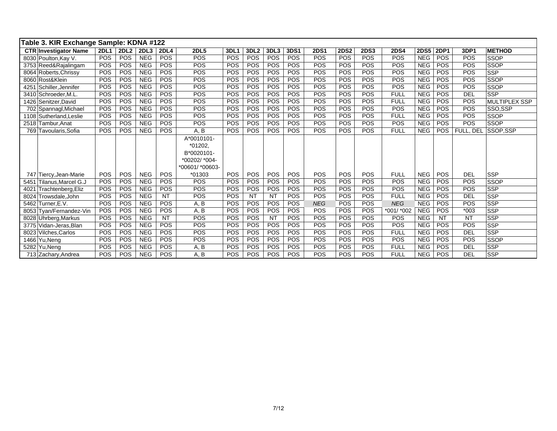| Table 3. KIR Exchange Sample: KDNA #122 |             |             |                  |             |                 |      |                  |            |            |             |             |             |             |             |             |            |                      |
|-----------------------------------------|-------------|-------------|------------------|-------------|-----------------|------|------------------|------------|------------|-------------|-------------|-------------|-------------|-------------|-------------|------------|----------------------|
| <b>CTR Investigator Name</b>            | <b>2DL1</b> | <b>2DL2</b> | 2DL <sub>3</sub> | <b>2DL4</b> | <b>2DL5</b>     | 3DL1 | 3DL <sub>2</sub> | 3DL3       | 3DS1       | <b>2DS1</b> | <b>2DS2</b> | <b>2DS3</b> | <b>2DS4</b> | <b>2DS5</b> | <b>2DP1</b> | 3DP1       | <b>METHOD</b>        |
| 8030 Poulton, Kay V.                    | POS         | POS         | <b>NEG</b>       | <b>POS</b>  | POS             | POS  | POS              | POS        | <b>POS</b> | <b>POS</b>  | POS         | POS         | POS         | <b>NEG</b>  | POS         | POS        | <b>SSOP</b>          |
| 3753 Reed&Rajalingam                    | <b>POS</b>  | POS         | <b>NEG</b>       | POS         | POS             | POS  | POS              | <b>POS</b> | <b>POS</b> | POS         | POS         | POS         | POS         | <b>NEG</b>  | POS         | POS        | <b>SSOP</b>          |
| 8064 Roberts, Chrissy                   | POS         | POS         | <b>NEG</b>       | POS         | POS             | POS  | POS              | POS        | <b>POS</b> | POS         | POS         | POS         | POS         | <b>NEG</b>  | <b>POS</b>  | POS        | <b>SSP</b>           |
| 8060 Rost&Klein                         | POS         | POS         | <b>NEG</b>       | POS         | POS             | POS  | POS              | POS        | POS        | POS         | POS         | POS         | POS         | <b>NEG</b>  | POS         | POS        | <b>SSOP</b>          |
| 4251 Schiller, Jennifer                 | POS         | POS         | <b>NEG</b>       | POS         | POS             | POS  | POS              | POS        | POS        | POS         | POS         | POS         | POS         | <b>NEG</b>  | POS         | POS        | <b>SSOP</b>          |
| 3410 Schroeder.M.L                      | POS         | POS         | <b>NEG</b>       | POS         | POS             | POS  | POS              | <b>POS</b> | <b>POS</b> | POS         | POS         | POS         | <b>FULL</b> | <b>NEG</b>  | POS         | DEL        | <b>SSP</b>           |
| 1426 Senitzer, David                    | POS         | POS         | <b>NEG</b>       | POS         | POS             | POS  | POS              | POS        | <b>POS</b> | POS         | POS         | POS         | <b>FULL</b> | <b>NEG</b>  | POS         | POS        | <b>MULTIPLEX SSP</b> |
| 702 Spannagl, Michael                   | POS         | POS         | <b>NEG</b>       | POS         | POS             | POS  | POS              | POS        | POS        | POS         | POS         | POS         | POS         | <b>NEG</b>  | POS         | POS        | SSO.SSP              |
| 1108 Sutherland, Leslie                 | <b>POS</b>  | POS         | <b>NEG</b>       | POS         | POS             | POS  | POS              | <b>POS</b> | <b>POS</b> | POS         | POS         | POS         | <b>FULL</b> | <b>NEG</b>  | POS         | POS        | <b>SSOP</b>          |
| 2518 Tambur.Anat                        | POS         | POS         | <b>NEG</b>       | <b>POS</b>  | POS             | POS  | POS              | POS        | <b>POS</b> | <b>POS</b>  | POS         | POS         | POS         | <b>NEG</b>  | POS         | POS        | <b>SSOP</b>          |
| 769 Tavoularis, Sofia                   | <b>POS</b>  | POS         | <b>NEG</b>       | POS         | A, B            | POS  | POS              | <b>POS</b> | <b>POS</b> | POS         | POS         | POS         | <b>FULL</b> | <b>NEG</b>  | POS         | FULL, DEL  | SSOP.SSP             |
|                                         |             |             |                  |             | A*0010101-      |      |                  |            |            |             |             |             |             |             |             |            |                      |
|                                         |             |             |                  |             | *01202.         |      |                  |            |            |             |             |             |             |             |             |            |                      |
|                                         |             |             |                  |             | B*0020101-      |      |                  |            |            |             |             |             |             |             |             |            |                      |
|                                         |             |             |                  |             | *00202/ *004-   |      |                  |            |            |             |             |             |             |             |             |            |                      |
|                                         |             |             |                  |             | *00601/ *00603- |      |                  |            |            |             |             |             |             |             |             |            |                      |
| 747 Tiercy, Jean-Marie                  | POS         | POS         | <b>NEG</b>       | POS         | $*01303$        | POS  | POS              | POS        | <b>POS</b> | POS         | POS         | POS         | <b>FULL</b> | <b>NEG</b>  | POS         | <b>DEL</b> | <b>SSP</b>           |
| 5451 Tilanus, Marcel G.J                | POS         | POS         | <b>NEG</b>       | POS         | POS             | POS  | POS              | POS        | POS        | POS         | POS         | POS         | POS         | <b>NEG</b>  | POS         | POS        | <b>SSOP</b>          |
| 4021 Trachtenberg, Eliz                 | <b>POS</b>  | POS         | <b>NEG</b>       | POS         | POS             | POS  | POS              | <b>POS</b> | <b>POS</b> | POS         | <b>POS</b>  | POS         | POS         | <b>NEG</b>  | <b>POS</b>  | POS        | <b>SSP</b>           |
| 8024 Trowsdale, John                    | <b>POS</b>  | POS         | <b>NEG</b>       | <b>NT</b>   | POS             | POS  | <b>NT</b>        | <b>NT</b>  | <b>POS</b> | POS         | POS         | POS         | <b>FULL</b> | <b>NEG</b>  | POS         | <b>DEL</b> | <b>SSP</b>           |
| 5462 Turner.E.V.                        | POS         | POS         | <b>NEG</b>       | POS         | A, B            | POS  | POS              | POS        | <b>POS</b> | <b>NEG</b>  | POS         | POS         | <b>NEG</b>  | <b>NEG</b>  | POS         | POS        | <b>SSP</b>           |
| 8053 Tyan/Fernandez-Vin                 | POS         | POS         | <b>NEG</b>       | POS         | A, B            | POS  | <b>POS</b>       | <b>POS</b> | <b>POS</b> | POS         | POS         | POS         | *001/ *002  | <b>NEG</b>  | POS         | $*003$     | <b>SSP</b>           |
| 8028 Uhrberg, Markus                    | <b>POS</b>  | POS         | <b>NEG</b>       | <b>NT</b>   | POS             | POS  | POS              | <b>NT</b>  | <b>POS</b> | POS         | POS         | POS         | <b>POS</b>  | <b>NEG</b>  | NT          | <b>NT</b>  | <b>SSP</b>           |
| 3775 Vidan-Jeras, Blan                  | <b>POS</b>  | POS         | <b>NEG</b>       | POS         | POS             | POS  | POS              | POS        | <b>POS</b> | POS         | POS         | POS         | POS         | <b>NEG</b>  | POS         | POS        | <b>SSP</b>           |
| 8023 Vilches, Carlos                    | POS         | POS         | <b>NEG</b>       | POS         | POS             | POS  | POS              | <b>POS</b> | POS        | POS         | POS         | POS         | <b>FULL</b> | <b>NEG</b>  | POS         | <b>DEL</b> | <b>SSP</b>           |
| 1466 Yu, Neng                           | POS         | POS         | <b>NEG</b>       | POS         | POS             | POS  | POS              | <b>POS</b> | POS        | POS         | POS         | POS         | POS         | <b>NEG</b>  | POS         | POS        | SSOP                 |
| 5282 Yu.Nena                            | <b>POS</b>  | POS         | <b>NEG</b>       | POS         | A, B            | POS  | POS              | <b>POS</b> | <b>POS</b> | POS         | POS         | POS         | <b>FULL</b> | <b>NEG</b>  | POS         | <b>DEL</b> | <b>SSP</b>           |
| 713 Zachary, Andrea                     | POS         | POS         | <b>NEG</b>       | POS         | A, B            | POS  | POS              | <b>POS</b> | <b>POS</b> | POS         | POS         | POS         | <b>FULL</b> | <b>NEG</b>  | POS         | DEL        | <b>SSP</b>           |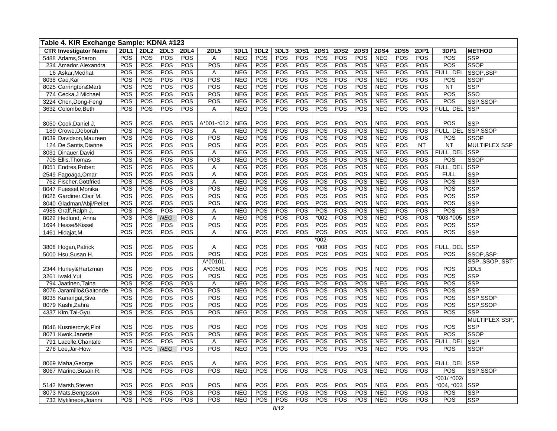|                              | Table 4. KIR Exchange Sample: KDNA #123<br><b>2DL2</b><br>2DL3<br>2DP1<br><b>2DL1</b><br><b>2DL4</b><br><b>2DL5</b><br>3DL1<br>3DL <sub>2</sub><br>3DL3<br>3DS1<br><b>2DS1</b><br><b>2DS2</b><br><b>2DS3</b><br><b>2DS4</b><br><b>2DS5</b><br>3DP1<br><b>METHOD</b> |                 |            |            |            |                 |     |            |            |         |                  |     |            |     |           |               |                 |
|------------------------------|---------------------------------------------------------------------------------------------------------------------------------------------------------------------------------------------------------------------------------------------------------------------|-----------------|------------|------------|------------|-----------------|-----|------------|------------|---------|------------------|-----|------------|-----|-----------|---------------|-----------------|
| <b>CTR Investigator Name</b> |                                                                                                                                                                                                                                                                     |                 |            |            |            |                 |     |            |            |         |                  |     |            |     |           |               |                 |
| 5488 Adams, Sharon           | POS                                                                                                                                                                                                                                                                 | POS             | POS        | POS        | Α          | <b>NEG</b>      | POS | <b>POS</b> | POS        | POS     | <b>POS</b>       | POS | <b>NEG</b> | POS | POS       | POS           | <b>SSP</b>      |
| 234<br>Amador, Alexandra     | POS                                                                                                                                                                                                                                                                 | POS             | POS        | POS        | POS        | <b>NEG</b>      | POS | POS        | POS        | POS     | $\overline{POS}$ | POS | <b>NEG</b> | POS | POS       | POS           | SSOP            |
| 16 Askar, Medhat             | POS                                                                                                                                                                                                                                                                 | POS             | POS        | POS        | Α          | <b>NEG</b>      | POS | POS        | POS        | POS     | POS              | POS | <b>NEG</b> | POS | POS       | FULL, DEL     | SSOP,SSP        |
| 8038 Cao, Kai                | POS                                                                                                                                                                                                                                                                 | POS             | POS        | POS        | POS        | <b>NEG</b>      | POS | POS        | POS        | POS     | POS              | POS | <b>NEG</b> | POS | POS       | POS           | <b>SSOP</b>     |
| 8025 Carrington&Marti        | POS                                                                                                                                                                                                                                                                 | POS             | POS        | POS        | POS        | <b>NEG</b>      | POS | POS        | POS        | POS     | POS              | POS | <b>NEG</b> | POS | POS       | <b>NT</b>     | <b>SSP</b>      |
| Cecka, J Michael<br>774      | POS                                                                                                                                                                                                                                                                 | POS             | POS        | POS        | POS        | <b>NEG</b>      | POS | POS        | POS        | POS     | POS              | POS | <b>NEG</b> | POS | POS       | POS           | SSO             |
| 3224 Chen, Dong-Feng         | POS                                                                                                                                                                                                                                                                 | POS             | POS        | POS        | POS        | <b>NEG</b>      | POS | POS        | POS        | POS     | POS              | POS | <b>NEG</b> | POS | POS       | POS           | SSP,SSOP        |
| 3632 Colombe, Beth           | POS                                                                                                                                                                                                                                                                 | POS             | POS        | POS        | Α          | <b>NEG</b>      | POS | POS        | POS        | POS     | POS              | POS | <b>NEG</b> | POS | POS       | FULL, DEL SSP |                 |
|                              |                                                                                                                                                                                                                                                                     |                 |            |            |            |                 |     |            |            |         |                  |     |            |     |           |               |                 |
| 8050 Cook, Daniel J.         | POS                                                                                                                                                                                                                                                                 | POS             | POS        | POS        | A*001-*012 | <b>NEG</b>      | POS | <b>POS</b> | POS        | POS     | POS              | POS | <b>NEG</b> | POS | POS       | POS           | SSP             |
| 189 Crowe, Deborah           | POS                                                                                                                                                                                                                                                                 | POS             | POS        | POS        | A          | <b>NEG</b>      | POS | POS        | POS        | POS     | POS              | POS | <b>NEG</b> | POS | POS       | FULL, DEL     | SSP,SSOP        |
| 8039 Davidson, Maureen       | POS                                                                                                                                                                                                                                                                 | POS             | POS        | POS        | POS        | <b>NEG</b>      | POS | POS        | POS        | POS     | POS              | POS | <b>NEG</b> | POS | POS       | POS           | <b>SSOP</b>     |
| De Santis, Dianne<br>124     | POS                                                                                                                                                                                                                                                                 | POS             | POS        | POS        | POS        | <b>NEG</b>      | POS | <b>POS</b> | <b>POS</b> | POS     | POS              | POS | <b>NEG</b> | POS | <b>NT</b> | <b>NT</b>     | MULTIPLEX SSP   |
| 8031 Dinauer, David          | POS                                                                                                                                                                                                                                                                 | PO <sub>S</sub> | POS        | POS        | Α          | <b>NEG</b>      | POS | POS        | POS        | POS     | POS              | POS | <b>NEG</b> | POS | POS       | FULL. DEL     | <b>SSP</b>      |
| 705 Ellis, Thomas            | POS                                                                                                                                                                                                                                                                 | POS             | POS        | POS        | POS        | <b>NEG</b>      | POS | POS        | POS        | POS     | POS              | POS | <b>NEG</b> | POS | POS       | POS           | <b>SSOP</b>     |
| Endres, Robert<br>8051       | POS                                                                                                                                                                                                                                                                 | POS             | POS        | POS        | Α          | <b>NEG</b>      | POS | POS        | POS        | POS     | POS              | POS | <b>NEG</b> | POS | POS       | FULL, DEL     | <b>SSP</b>      |
| 2549 Fagoaga, Omar           | POS                                                                                                                                                                                                                                                                 | POS             | POS        | POS        | Α          | <b>NEG</b>      | POS | POS        | POS        | POS     | POS              | POS | <b>NEG</b> | POS | POS       | <b>FULL</b>   | <b>SSP</b>      |
| 762 Fischer, Gottfried       | POS                                                                                                                                                                                                                                                                 | POS             | POS        | POS        | A          | <b>NEG</b>      | POS | POS        | <b>POS</b> | POS     | POS              | POS | <b>NEG</b> | POS | POS       | POS           | <b>SSP</b>      |
| 8047 Fuessel.Monika          | POS                                                                                                                                                                                                                                                                 | POS             | POS        | POS        | POS        | <b>NEG</b>      | POS | POS        | POS        | POS     | POS              | POS | <b>NEG</b> | POS | POS       | POS           | <b>SSP</b>      |
| 8026<br>Gardiner, Clair M.   | POS                                                                                                                                                                                                                                                                 | POS             | POS        | POS        | POS        | <b>NEG</b>      | POS | POS        | <b>POS</b> | POS     | POS              | POS | <b>NEG</b> | POS | POS       | POS           | <b>SSP</b>      |
| 8040<br>Gladman/Abji/Pellet  | POS                                                                                                                                                                                                                                                                 | <b>POS</b>      | POS        | POS        | POS        | <b>NEG</b>      | POS | POS        | POS        | POS     | POS              | POS | <b>NEG</b> | POS | POS       | POS           | <b>SSP</b>      |
| 4985<br>Graff, Ralph J       | POS                                                                                                                                                                                                                                                                 | POS             | POS        | POS        | A          | <b>NEG</b>      | POS | POS        | POS        | POS     | POS              | POS | <b>NEG</b> | POS | POS       | POS           | <b>SSP</b>      |
| Hedlund, Anna<br>8022        | POS                                                                                                                                                                                                                                                                 | POS             | <b>NEG</b> | POS        | A          | <b>NEG</b>      | POS | POS        | POS        | $*002$  | <b>POS</b>       | POS | <b>NEG</b> | POS | POS       | *003-*005     | <b>SSP</b>      |
| 1694<br>Hesse&Kissel         | POS                                                                                                                                                                                                                                                                 | <b>POS</b>      | POS        | POS        | POS        | <b>NEG</b>      | POS | POS        | POS        | POS     | POS              | POS | <b>NEG</b> | POS | POS       | POS           | <b>SSP</b>      |
| 1461 Hidajat, M.             | POS                                                                                                                                                                                                                                                                 | POS             | POS        | <b>POS</b> | Α          | <b>NEG</b>      | POS | POS        | POS        | POS     | <b>POS</b>       | POS | <b>NEG</b> | POS | POS       | POS           | <b>SSP</b>      |
|                              |                                                                                                                                                                                                                                                                     |                 |            |            |            |                 |     |            |            | $*002-$ |                  |     |            |     |           |               |                 |
| 3808 Hogan, Patrick          | POS                                                                                                                                                                                                                                                                 | POS             | POS        | POS        | Α          | <b>NEG</b>      | POS | POS        | POS        | $*008$  | POS              | POS | <b>NEG</b> | POS | POS       | FULL. DEL     | <b>SSP</b>      |
| 5000 Hsu.Susan H             | POS                                                                                                                                                                                                                                                                 | POS             | POS        | <b>POS</b> | POS        | <b>NEG</b>      | POS | POS        | POS        | POS     | POS              | POS | <b>NEG</b> | POS | POS       | POS           | SSOP.SSP        |
|                              |                                                                                                                                                                                                                                                                     |                 |            |            | A*00101,   |                 |     |            |            |         |                  |     |            |     |           |               | SSP, SSOP, SBT- |
| 2344 Hurley& Hartzman        | POS                                                                                                                                                                                                                                                                 | POS             | POS        | POS        | A*00501    | <b>NEG</b>      | POS | POS        | POS        | POS     | POS              | POS | <b>NEG</b> | POS | POS       | POS           | 2DL5            |
| 3261 Iwaki, Yui              | POS                                                                                                                                                                                                                                                                 | POS             | POS        | POS        | POS        | <b>NEG</b>      | POS | POS        | POS        | POS     | POS              | POS | <b>NEG</b> | POS | POS       | POS           | <b>SSP</b>      |
| 794 Jaatinen, Taina          | POS                                                                                                                                                                                                                                                                 | POS             | POS        | POS        | Α          | <b>NEG</b>      | POS | POS        | POS        | POS     | POS              | POS | <b>NEG</b> | POS | POS       | POS           | <b>SSP</b>      |
| 8076 Jaramillo&Gaitonde      | POS                                                                                                                                                                                                                                                                 | POS             | POS        | POS        | POS        | <b>NEG</b>      | POS | POS        | POS        | POS     | POS              | POS | <b>NEG</b> | POS | POS       | POS           | <b>SSP</b>      |
| 8035 Kanangat, Siva          | POS                                                                                                                                                                                                                                                                 | POS             | POS        | POS        | POS        | <b>NEG</b>      | POS | POS        | POS        | POS     | POS              | POS | <b>NEG</b> | POS | POS       | POS           | SSP,SSOP        |
| 8079 Kashi, Zahra            | POS                                                                                                                                                                                                                                                                 | POS             | POS        | POS        | POS        | NE <sub>G</sub> | POS | POS        | POS        | POS     | POS              | POS | <b>NEG</b> | POS | POS       | POS           | SSP,SSOP        |
| 4337 Kim, Tai-Gyu            | POS                                                                                                                                                                                                                                                                 | POS             | POS        | <b>POS</b> | POS        | <b>NEG</b>      | POS | POS        | POS        | POS     | POS              | POS | <b>NEG</b> | POS | POS       | POS           | <b>SSP</b>      |
|                              |                                                                                                                                                                                                                                                                     |                 |            |            |            |                 |     |            |            |         |                  |     |            |     |           |               | MULTIPLEX SSP,  |
| 8046 Kusnierczyk, Piot       | POS                                                                                                                                                                                                                                                                 | POS             | POS        | POS        | POS        | <b>NEG</b>      | POS | POS        | POS        | POS     | POS              | POS | <b>NEG</b> | POS | POS       | POS           | <b>SSP</b>      |
| 8071 Kwok, Janette           | POS                                                                                                                                                                                                                                                                 | POS             | POS        | POS        | POS        | <b>NEG</b>      | POS | POS        | POS        | POS     | POS              | POS | <b>NEG</b> | POS | POS       | POS           | <b>SSOP</b>     |
| 791 Lacelle, Chantale        | POS                                                                                                                                                                                                                                                                 | POS             | POS        | POS        | Α          | <b>NEG</b>      | POS | POS        | POS        | POS     | POS              | POS | <b>NEG</b> | POS | POS       | FULL, DEL     | <b>SSP</b>      |
| 278 Lee, Jar-How             | POS                                                                                                                                                                                                                                                                 | POS             | <b>NEG</b> | POS        | POS        | <b>NEG</b>      | POS | POS        | POS        | POS     | POS              | POS | <b>NEG</b> | POS | POS       | POS           | SSOP            |
|                              |                                                                                                                                                                                                                                                                     |                 |            |            |            |                 |     |            |            |         |                  |     |            |     |           |               |                 |
| 8069 Maha, George            | POS                                                                                                                                                                                                                                                                 | POS             | POS        | POS        | A          | <b>NEG</b>      | POS | POS        | POS        | POS     | POS              | POS | <b>NEG</b> | POS | POS       | FULL, DEL     | <b>ISSP</b>     |
| 8067 Marino, Susan R.        | POS                                                                                                                                                                                                                                                                 | POS             | POS        | <b>POS</b> | POS        | <b>NEG</b>      | POS | POS        | POS        | POS     | POS              | POS | <b>NEG</b> | POS | POS       | POS           | SSP.SSOP        |
|                              |                                                                                                                                                                                                                                                                     |                 |            |            |            |                 |     |            |            |         |                  |     |            |     |           | *001/ *002/   |                 |
| 5142 Marsh.Steven            | POS                                                                                                                                                                                                                                                                 | POS             | POS        | POS        | POS        | <b>NEG</b>      | POS | POS        | POS        | POS     | POS              | POS | <b>NEG</b> | POS | POS       | $*004, *003$  | <b>SSP</b>      |
| 8073 Mats, Bengtsson         | POS                                                                                                                                                                                                                                                                 | POS             | POS        | POS        | POS        | <b>NEG</b>      | POS | POS        | POS        | POS     | POS              | POS | <b>NEG</b> | POS | POS       | POS           | <b>SSP</b>      |
| 733 Mytilineos, Joanni       | POS                                                                                                                                                                                                                                                                 | POS             | POS        | POS        | POS        | <b>NEG</b>      | POS | POS        | POS        | POS     | POS              | POS | <b>NEG</b> | POS | POS       | POS           | <b>SSP</b>      |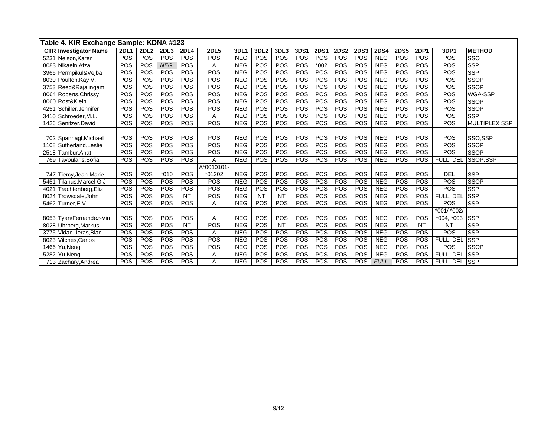| Table 4. KIR Exchange Sample: KDNA #123 |             |                  |            |             |             |            |                  |            |            |             |             |             |             |             |             |               |                      |
|-----------------------------------------|-------------|------------------|------------|-------------|-------------|------------|------------------|------------|------------|-------------|-------------|-------------|-------------|-------------|-------------|---------------|----------------------|
| <b>CTR Investigator Name</b>            | <b>2DL1</b> | 2DL <sub>2</sub> | 2DL3       | <b>2DL4</b> | <b>2DL5</b> | 3DL1       | 3DL <sub>2</sub> | 3DL3       | 3DS1       | <b>2DS1</b> | <b>2DS2</b> | <b>2DS3</b> | <b>2DS4</b> | <b>2DS5</b> | <b>2DP1</b> | 3DP1          | <b>METHOD</b>        |
| 5231 Nelson, Karen                      | POS         | POS              | POS        | <b>POS</b>  | POS         | <b>NEG</b> | POS              | <b>POS</b> | <b>POS</b> | POS         | POS         | POS         | <b>NEG</b>  | POS         | POS         | POS           | SSO                  |
| 8083 Nikaein Afzal                      | POS         | POS              | <b>NEG</b> | <b>POS</b>  | A           | <b>NEG</b> | POS              | POS        | POS        | $*002$      | POS         | POS         | <b>NEG</b>  | POS         | POS         | POS           | <b>SSP</b>           |
| 3966 Permpikul&Veiba                    | POS         | POS              | POS        | POS         | POS         | <b>NEG</b> | POS              | <b>POS</b> | POS        | POS         | POS         | POS         | <b>NEG</b>  | POS         | POS         | POS           | <b>SSP</b>           |
| 8030 Poulton Kay V.                     | POS         | POS              | POS        | POS         | POS         | <b>NEG</b> | POS              | <b>POS</b> | POS        | POS         | <b>POS</b>  | POS         | <b>NEG</b>  | POS         | POS         | POS           | <b>SSOP</b>          |
| 3753 Reed&Rajalingam                    | POS         | POS              | POS        | POS         | POS         | <b>NEG</b> | POS              | POS        | POS        | POS         | POS         | POS         | <b>NEG</b>  | POS         | POS         | POS           | SSOP                 |
| 8064 Roberts, Chrissy                   | POS         | POS              | POS        | <b>POS</b>  | POS         | <b>NEG</b> | POS              | POS        | POS        | POS         | POS         | POS         | <b>NEG</b>  | POS         | POS         | POS           | WGA-SSP              |
| 8060 Rost&Klein                         | POS         | POS              | POS        | POS         | POS         | <b>NEG</b> | POS              | POS        | POS        | POS         | POS         | POS         | <b>NEG</b>  | POS         | POS         | POS           | <b>SSOP</b>          |
| Schiller, Jennifer<br>4251              | POS         | POS              | POS        | <b>POS</b>  | POS         | <b>NEG</b> | POS              | POS        | POS        | POS         | POS         | POS         | <b>NEG</b>  | POS         | POS         | POS           | <b>SSOP</b>          |
| Schroeder.M.L<br>3410                   | POS         | POS              | POS        | POS         | A           | <b>NEG</b> | POS              | POS        | POS        | POS         | POS         | POS         | <b>NEG</b>  | POS         | POS         | POS           | <b>SSP</b>           |
| 1426 Senitzer David                     | POS         | POS              | POS        | <b>POS</b>  | POS         | <b>NEG</b> | POS              | POS        | POS        | POS         | POS         | POS         | <b>NEG</b>  | POS         | POS         | POS           | <b>MULTIPLEX SSP</b> |
|                                         |             |                  |            |             |             |            |                  |            |            |             |             |             |             |             |             |               |                      |
| 702 Spannagl, Michael                   | POS         | POS              | POS        | POS         | POS         | <b>NEG</b> | POS              | POS        | POS        | POS         | POS         | POS         | <b>NEG</b>  | POS         | POS         | POS           | SSO,SSP              |
| 1108 Sutherland.Leslie                  | POS         | POS              | POS        | POS         | POS         | <b>NEG</b> | POS              | <b>POS</b> | POS        | POS         | POS         | POS         | <b>NEG</b>  | POS         | POS         | POS           | <b>SSOP</b>          |
| 2518 Tambur, Anat                       | POS         | POS              | POS        | <b>POS</b>  | POS         | <b>NEG</b> | POS              | POS        | POS        | POS         | POS         | POS         | <b>NEG</b>  | POS         | POS         | POS           | SSOP                 |
| 769 Tavoularis.Sofia                    | POS         | POS              | POS        | <b>POS</b>  | A           | <b>NEG</b> | POS              | <b>POS</b> | POS        | POS         | <b>POS</b>  | POS         | <b>NEG</b>  | POS         | POS         | FULL, DEL     | SSOP.SSP             |
|                                         |             |                  |            |             | A*0010101-  |            |                  |            |            |             |             |             |             |             |             |               |                      |
| 747 Tiercy, Jean-Marie                  | POS         | POS              | $*010$     | <b>POS</b>  | *01202      | <b>NEG</b> | POS              | POS        | POS        | POS         | POS         | POS         | <b>NEG</b>  | POS         | POS         | <b>DEL</b>    | <b>SSP</b>           |
| Tilanus.Marcel G.J<br>5451              | POS         | POS              | POS        | <b>POS</b>  | POS         | <b>NEG</b> | POS              | <b>POS</b> | POS        | POS         | POS         | POS         | <b>NEG</b>  | POS         | POS         | POS           | <b>SSOP</b>          |
| Trachtenberg, Eliz<br>4021              | POS         | POS              | POS        | <b>POS</b>  | POS         | <b>NEG</b> | POS              | POS        | POS        | POS         | POS         | POS         | <b>NEG</b>  | POS         | POS         | POS           | <b>SSP</b>           |
| Trowsdale, John<br>8024                 | POS         | POS              | POS        | <b>NT</b>   | POS         | <b>NEG</b> | <b>NT</b>        | <b>NT</b>  | POS        | POS         | POS         | POS         | <b>NEG</b>  | POS         | POS         | FULL, DEL     | <b>SSP</b>           |
| 5462 Turner.E.V.                        | POS         | POS              | POS        | POS         | Α           | <b>NEG</b> | POS              | POS        | POS        | POS         | POS         | POS         | <b>NEG</b>  | POS         | POS         | POS           | <b>SSP</b>           |
|                                         |             |                  |            |             |             |            |                  |            |            |             |             |             |             |             |             | $*001/*002/$  |                      |
| 8053 Tyan/Fernandez-Vin                 | POS         | POS              | POS        | POS         | A           | <b>NEG</b> | POS              | POS        | POS        | POS         | POS         | POS         | <b>NEG</b>  | POS         | POS         | $*004, *003$  | <b>SSP</b>           |
| 8028 Uhrberg, Markus                    | POS         | POS              | POS        | <b>NT</b>   | POS         | <b>NEG</b> | POS              | <b>NT</b>  | POS        | POS         | POS         | POS         | <b>NEG</b>  | POS         | <b>NT</b>   | <b>NT</b>     | <b>SSP</b>           |
| 3775 Vidan-Jeras, Blan                  | POS         | POS              | POS        | POS         | A           | <b>NEG</b> | POS              | POS        | POS        | POS         | POS         | POS         | <b>NEG</b>  | POS         | POS         | POS           | <b>SSP</b>           |
| Vilches, Carlos<br>8023                 | POS         | POS              | POS        | <b>POS</b>  | POS         | <b>NEG</b> | POS              | POS        | POS        | POS         | POS         | POS         | <b>NEG</b>  | POS         | POS         | FULL. DEL     | <b>SSP</b>           |
| 1466 Yu, Neng                           | POS         | POS              | POS        | POS         | POS         | <b>NEG</b> | POS              | POS        | POS        | POS         | POS         | POS         | <b>NEG</b>  | POS         | POS         | POS           | <b>SSOP</b>          |
| 5282 Yu, Neng                           | POS         | POS              | POS        | <b>POS</b>  | Α           | <b>NEG</b> | POS              | <b>POS</b> | <b>POS</b> | POS         | POS         | POS         | <b>NEG</b>  | POS         | POS         | FULL, DEL     | <b>SSP</b>           |
| 713 Zachary, Andrea                     | POS         | POS              | POS        | <b>POS</b>  | A           | <b>NEG</b> | POS              | POS        | POS        | POS         | POS         | POS         | <b>FULL</b> | POS         | POS         | FULL, DEL SSP |                      |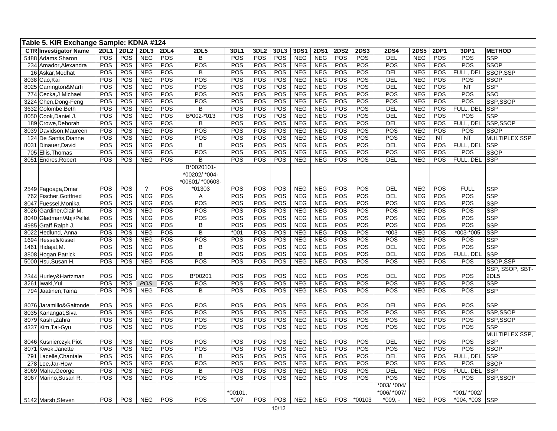| Table 5. KIR Exchange Sample: KDNA #124 |             |             |                          |             |                           |            |                  |            |            |             |            |             |             |             |            |                  |                      |
|-----------------------------------------|-------------|-------------|--------------------------|-------------|---------------------------|------------|------------------|------------|------------|-------------|------------|-------------|-------------|-------------|------------|------------------|----------------------|
| <b>CTR</b> Investigator Name            | <b>2DL1</b> | <b>2DL2</b> | 2DL3                     | <b>2DL4</b> | <b>2DL5</b>               | 3DL1       | 3DL <sub>2</sub> | 3DL3       | 3DS1       | <b>2DS1</b> | 2DS2       | <b>2DS3</b> | <b>2DS4</b> | <b>2DS5</b> | 2DP1       | 3DP1             | <b>METHOD</b>        |
| 5488 Adams, Sharon                      | POS         | POS         | <b>NEG</b>               | POS         | B                         | POS        | POS              | <b>POS</b> | <b>NEG</b> | <b>NEG</b>  | POS        | <b>POS</b>  | DEL         | <b>NEG</b>  | POS        | POS              | <b>SSP</b>           |
| 234 Amador, Alexandra                   | POS         | POS         | <b>NEG</b>               | POS         | POS                       | POS        | POS              | POS        | <b>NEG</b> | <b>NEG</b>  | POS        | POS         | POS         | <b>NEG</b>  | POS        | POS              | <b>SSOP</b>          |
| 16 Askar, Medhat                        | POS         | POS         | <b>NEG</b>               | POS         | B                         | POS        | POS              | <b>POS</b> | <b>NEG</b> | <b>NEG</b>  | POS        | <b>POS</b>  | <b>DEL</b>  | <b>NEG</b>  | POS        | FULL, DEL        | SSOP,SSP             |
| 8038 Cao, Kai                           | POS         | POS         | <b>NEG</b>               | POS         | POS                       | <b>POS</b> | POS              | POS        | <b>NEG</b> | <b>NEG</b>  | POS        | POS         | <b>DEL</b>  | <b>NEG</b>  | POS        | POS              | <b>SSOP</b>          |
| 8025 Carrington&Marti                   | POS         | POS         | <b>NEG</b>               | POS         | POS                       | POS        | POS              | POS        | <b>NEG</b> | <b>NEG</b>  | POS        | POS         | <b>DEL</b>  | <b>NEG</b>  | POS        | <b>NT</b>        | <b>SSP</b>           |
| 774 Cecka, J Michael                    | POS         | POS         | <b>NEG</b>               | POS         | POS                       | POS        | POS              | POS        | <b>NEG</b> | <b>NEG</b>  | POS        | POS         | POS         | <b>NEG</b>  | POS        | POS              | SSO                  |
| 3224 Chen, Dong-Feng                    | POS         | POS         | <b>NEG</b>               | POS         | POS                       | POS        | POS              | POS        | <b>NEG</b> | <b>NEG</b>  | POS        | <b>POS</b>  | POS         | <b>NEG</b>  | POS        | POS              | SSP,SSOP             |
| 3632 Colombe, Beth                      | POS         | POS         | <b>NEG</b>               | POS         | B                         | POS        | POS              | POS        | <b>NEG</b> | <b>NEG</b>  | POS        | POS         | <b>DEL</b>  | <b>NEG</b>  | POS        | FULL, DEL SSP    |                      |
| 8050 Cook, Daniel J.                    | POS         | POS         | <b>NEG</b>               | POS         | B*002-*013                | POS        | POS              | POS        | <b>NEG</b> | <b>NEG</b>  | POS        | POS         | <b>DEL</b>  | <b>NEG</b>  | POS        | POS              | <b>SSP</b>           |
| 189 Crowe, Deborah                      | POS         | POS         | <b>NEG</b>               | POS         | B                         | POS        | POS              | POS        | <b>NEG</b> | <b>NEG</b>  | POS        | POS         | <b>DEL</b>  | <b>NEG</b>  | <b>POS</b> | FULL, DEL        | SSP, SSOP            |
| 8039 Davidson, Maureen                  | POS         | POS         | <b>NEG</b>               | POS         | POS                       | POS        | POS              | POS        | <b>NEG</b> | <b>NEG</b>  | POS        | <b>POS</b>  | POS         | <b>NEG</b>  | POS        | POS              | <b>SSOP</b>          |
| 124 De Santis, Dianne                   | POS         | POS         | <b>NEG</b>               | POS         | POS                       | POS        | POS              | POS        | <b>NEG</b> | <b>NEG</b>  | POS        | POS         | POS         | <b>NEG</b>  | <b>NT</b>  | <b>NT</b>        | <b>MULTIPLEX SSP</b> |
| 8031 Dinauer, David                     | POS         | POS         | <b>NEG</b>               | POS         | B                         | POS        | POS              | POS        | <b>NEG</b> | <b>NEG</b>  | POS        | POS         | <b>DEL</b>  | <b>NEG</b>  | POS        | FULL. DEL        | <b>SSP</b>           |
| 705 Ellis, Thomas                       | POS         | POS         | <b>NEG</b>               | POS         | POS                       | POS        | POS              | POS        | <b>NEG</b> | <b>NEG</b>  | POS        | <b>POS</b>  | POS         | <b>NEG</b>  | POS        | POS              | <b>SSOP</b>          |
| 8051 Endres, Robert                     | POS         | <b>POS</b>  | <b>NEG</b>               | POS         | B                         | POS        | POS              | <b>POS</b> | <b>NEG</b> | <b>NEG</b>  | POS        | <b>POS</b>  | <b>DEL</b>  | <b>NEG</b>  | POS        | FULL, DEL        | <b>SSP</b>           |
|                                         |             |             |                          |             | B*0020101-                |            |                  |            |            |             |            |             |             |             |            |                  |                      |
|                                         |             |             |                          |             | *00202/ *004-             |            |                  |            |            |             |            |             |             |             |            |                  |                      |
| 2549 Fagoaga, Omar                      | POS         | POS         | $\overline{\mathcal{E}}$ | POS         | *00601/ *00603-<br>*01303 | POS        | POS              | POS        | <b>NEG</b> | <b>NEG</b>  | POS        | POS         | <b>DEL</b>  | <b>NEG</b>  | POS        | <b>FULL</b>      | <b>SSP</b>           |
| 762 Fischer, Gottfried                  | POS         | POS         | <b>NEG</b>               | POS         | A                         | POS        | POS              | POS        | <b>NEG</b> | <b>NEG</b>  | POS        | <b>POS</b>  | <b>DEL</b>  | <b>NEG</b>  | POS        | POS              | <b>SSP</b>           |
| 8047 Fuessel, Monika                    | POS         | POS         | <b>NEG</b>               | POS         | POS                       | POS        | POS              | POS        | <b>NEG</b> | <b>NEG</b>  | POS        | POS         | POS         | <b>NEG</b>  | POS        | POS              | SSP                  |
| 8026 Gardiner, Clair M.                 | POS         | <b>POS</b>  | <b>NEG</b>               | POS         | POS                       | POS        | POS              | <b>POS</b> | <b>NEG</b> | <b>NEG</b>  | POS        | <b>POS</b>  | POS         | <b>NEG</b>  | POS        | POS              | SSP                  |
| 8040 Gladman/Abji/Pellet                | POS         | POS         | <b>NEG</b>               | POS         | POS                       | POS        | POS              | POS        | <b>NEG</b> | <b>NEG</b>  | POS        | POS         | POS         | <b>NEG</b>  | POS        | POS              | <b>SSP</b>           |
| 4985 Graff, Ralph J.                    | POS         | POS         | <b>NEG</b>               | POS         | B                         | POS        | POS              | POS        | <b>NEG</b> | <b>NEG</b>  | POS        | POS         | POS         | <b>NEG</b>  | POS        | POS              | <b>SSP</b>           |
| 8022<br>Hedlund, Anna                   | POS         | POS         | NEG                      | POS         | B                         | $*001$     | POS              | POS        | <b>NEG</b> | <b>NEG</b>  | POS        | POS         | $*003$      | <b>NEG</b>  | POS        | *003-*005        | <b>SSP</b>           |
| 1694 Hesse&Kissel                       | POS         | POS         | <b>NEG</b>               | POS         | POS                       | POS        | POS              | POS        | <b>NEG</b> | <b>NEG</b>  | POS        | POS         | POS         | <b>NEG</b>  | POS        | POS              | <b>SSP</b>           |
| 1461 Hidajat, M                         | POS         | POS         | <b>NEG</b>               | POS         | B                         | POS        | POS              | POS        | <b>NEG</b> | <b>NEG</b>  | POS        | POS         | <b>DEL</b>  | <b>NEG</b>  | POS        | $\overline{POS}$ | <b>SSP</b>           |
| 3808 Hogan, Patrick                     | POS         | POS         | <b>NEG</b>               | POS         | B                         | POS        | POS              | POS        | <b>NEG</b> | <b>NEG</b>  | POS        | <b>POS</b>  | <b>DEL</b>  | <b>NEG</b>  | <b>POS</b> | FULL, DEL        | <b>SSP</b>           |
| 5000 Hsu, Susan H.                      | POS         | POS         | <b>NEG</b>               | POS         | POS                       | POS        | POS              | POS        | <b>NEG</b> | <b>NEG</b>  | POS        | <b>POS</b>  | POS         | <b>NEG</b>  | POS        | POS              | SSOP,SSP             |
|                                         |             |             |                          |             |                           |            |                  |            |            |             |            |             |             |             |            |                  | SSP, SSOP, SBT-      |
| 2344 Hurley& Hartzman                   | POS         | POS         | <b>NEG</b>               | POS         | B*00201                   | POS        | POS              | POS        | <b>NEG</b> | <b>NEG</b>  | POS        | POS         | <b>DEL</b>  | <b>NEG</b>  | POS        | <b>POS</b>       | 2DL5                 |
| 3261 Iwaki, Yui                         | POS         | POS         | <b>POS</b>               | POS         | POS                       | POS        | POS              | POS        | <b>NEG</b> | <b>NEG</b>  | POS        | <b>POS</b>  | POS         | <b>NEG</b>  | POS        | POS              | <b>SSP</b>           |
| 794 Jaatinen, Taina                     | POS         | POS         | <b>NEG</b>               | POS         | B                         | POS        | POS              | POS        | <b>NEG</b> | <b>NEG</b>  | POS        | POS         | POS         | <b>NEG</b>  | POS        | POS              | <b>SSP</b>           |
|                                         |             |             |                          |             |                           |            |                  |            |            |             |            |             |             |             |            |                  |                      |
| 8076 Jaramillo&Gaitonde                 | POS         | POS         | <b>NEG</b>               | POS         | POS                       | POS        | POS              | <b>POS</b> | <b>NEG</b> | <b>NEG</b>  | POS        | <b>POS</b>  | <b>DEL</b>  | <b>NEG</b>  | POS        | POS              | <b>SSP</b>           |
| 8035 Kanangat, Siva                     | POS         | POS         | <b>NEG</b>               | POS         | POS                       | POS        | POS              | <b>POS</b> | <b>NEG</b> | <b>NEG</b>  | POS        | POS         | POS         | <b>NEG</b>  | POS        | POS              | SSP.SSOP             |
| 8079 Kashi, Zahra                       | POS         | POS         | <b>NEG</b>               | POS         | POS                       | POS        | POS              | <b>POS</b> | <b>NEG</b> | <b>NEG</b>  | POS        | POS         | POS         | <b>NEG</b>  | POS        | POS              | SSP,SSOP             |
| 4337 Kim, Tai-Gyu                       | POS         | POS         | <b>NEG</b>               | POS         | POS                       | <b>POS</b> | POS              | <b>POS</b> | <b>NEG</b> | <b>NEG</b>  | POS        | <b>POS</b>  | POS         | <b>NEG</b>  | POS        | POS              | <b>SSP</b>           |
|                                         |             |             |                          |             |                           |            |                  |            |            |             |            |             |             |             |            |                  | MULTIPLEX SSP,       |
| 8046 Kusnierczyk, Piot                  | POS         | POS         | <b>NEG</b>               | POS         | POS                       | POS        | POS              | POS        | <b>NEG</b> | <b>NEG</b>  | POS        | POS         | <b>DEL</b>  | <b>NEG</b>  | <b>POS</b> | POS              | <b>SSP</b>           |
| 8071<br>Kwok, Janette                   | POS         | POS         | <b>NEG</b>               | POS         | POS                       | POS        | POS              | POS        | <b>NEG</b> | <b>NEG</b>  | POS        | POS         | POS         | <b>NEG</b>  | POS        | POS              | <b>SSOP</b>          |
| 791<br>Lacelle, Chantale                | POS         | POS         | <b>NEG</b>               | POS         | B                         | POS        | POS              | POS        | <b>NEG</b> | <b>NEG</b>  | POS        | POS         | <b>DEL</b>  | <b>NEG</b>  | <b>POS</b> | FULL, DEL        | <b>SSP</b>           |
| Lee, Jar-How<br>278                     | POS         | <b>POS</b>  | <b>NEG</b>               | POS         | POS                       | POS        | POS              | POS        | <b>NEG</b> | <b>NEG</b>  | POS        | POS         | POS         | <b>NEG</b>  | POS        | POS              | <b>SSOP</b>          |
| 8069 Maha, George                       | POS         | POS         | <b>NEG</b>               | POS         | B                         | POS        | POS              | POS        | <b>NEG</b> | <b>NEG</b>  | POS        | <b>POS</b>  | <b>DEL</b>  | <b>NEG</b>  | <b>POS</b> | FULL, DEL        | <b>SSP</b>           |
| 8067 Marino Susan R.                    | POS         | POS         | <b>NEG</b>               | POS         | POS                       | POS        | POS              | POS        | <b>NEG</b> | <b>NEG</b>  | POS        | <b>POS</b>  | POS         | <b>NEG</b>  | POS        | POS              | SSP.SSOP             |
|                                         |             |             |                          |             |                           |            |                  |            |            |             |            |             | *003/ *004/ |             |            |                  |                      |
|                                         |             |             |                          |             |                           | $*00101$   |                  |            |            |             |            |             | *006/ *007/ |             |            | *001/ *002/      |                      |
| 5142 Marsh.Steven                       | POS         | POS         | <b>NEG</b>               | POS         | <b>POS</b>                | $*007$     | <b>POS</b>       | <b>POS</b> | <b>NEG</b> | <b>NEG</b>  | <b>POS</b> | *00103      | $*009. -$   | <b>NEG</b>  | <b>POS</b> | $*004, *003$     | <b>SSP</b>           |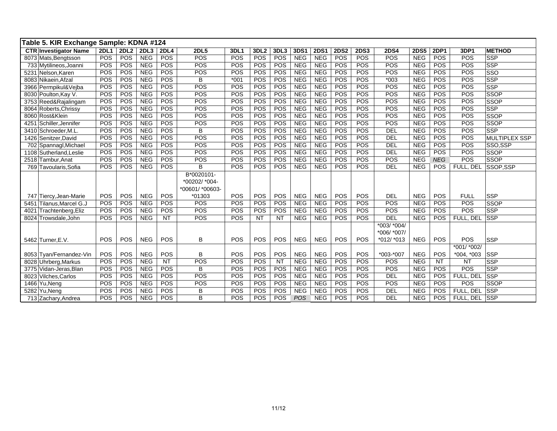|      | Table 5. KIR Exchange Sample: KDNA #124    |             |             |            |                 |                                                          |            |                  |                 |            |                          |             |             |                                           |             |                 |                 |                           |
|------|--------------------------------------------|-------------|-------------|------------|-----------------|----------------------------------------------------------|------------|------------------|-----------------|------------|--------------------------|-------------|-------------|-------------------------------------------|-------------|-----------------|-----------------|---------------------------|
|      | <b>CTR Investigator Name</b>               | <b>2DL1</b> | <b>2DL2</b> | 2DL3       | <b>2DL4</b>     | <b>2DL5</b>                                              | 3DL1       | 3DL <sub>2</sub> | 3DL3            | 3DS1       | <b>2DS1</b>              | <b>2DS2</b> | <b>2DS3</b> | <b>2DS4</b>                               | <b>2DS5</b> | <b>2DP1</b>     | 3DP1            | <b>METHOD</b>             |
|      | 8073 Mats, Bengtsson                       | POS         | POS         | <b>NEG</b> | POS             | POS                                                      | POS        | POS              | POS             | <b>NEG</b> | <b>NEG</b>               | POS         | <b>POS</b>  | POS                                       | <b>NEG</b>  | <b>POS</b>      | POS             | <b>SSP</b>                |
|      | 733 Mytilineos, Joanni                     | POS         | POS         | <b>NEG</b> | POS             | POS                                                      | POS        | POS              | POS             | <b>NEG</b> | <b>NEG</b>               | POS         | POS         | POS                                       | <b>NEG</b>  | <b>POS</b>      | POS             | <b>SSP</b>                |
|      | 5231 Nelson, Karen                         | POS         | POS         | <b>NEG</b> | POS             | POS                                                      | POS        | POS              | POS             | <b>NEG</b> | <b>NEG</b>               | POS         | POS         | POS                                       | <b>NEG</b>  | POS             | POS             | SSO                       |
|      | 8083 Nikaein, Afzal                        | POS         | POS         | <b>NEG</b> | POS             | B                                                        | $*001$     | POS              | POS             | <b>NEG</b> | <b>NEG</b>               | POS         | POS         | $*003$                                    | <b>NEG</b>  | POS             | POS             | <b>SSP</b>                |
|      | 3966 Permpikul&Vejba                       | POS         | POS         | <b>NEG</b> | POS             | POS                                                      | POS        | POS              | POS             | <b>NEG</b> | <b>NEG</b>               | POS         | POS         | POS                                       | <b>NEG</b>  | <b>POS</b>      | POS             | <b>SSP</b>                |
|      | 8030 Poulton, Kay V.                       | POS         | POS         | <b>NEG</b> | POS             | POS                                                      | POS        | POS              | POS             | <b>NEG</b> | <b>NEG</b>               | POS         | POS         | POS                                       | <b>NEG</b>  | <b>POS</b>      | POS             | <b>SSOP</b>               |
|      | 3753 Reed&Rajalingam                       | POS         | POS         | <b>NEG</b> | POS             | POS                                                      | POS        | POS              | POS             | <b>NEG</b> | <b>NEG</b>               | POS         | POS         | POS                                       | <b>NEG</b>  | POS             | POS             | <b>SSOP</b>               |
|      | 8064 Roberts, Chrissy                      | POS         | POS         | <b>NEG</b> | POS             | POS                                                      | POS        | POS              | POS             | <b>NEG</b> | <b>NEG</b>               | POS         | POS         | POS                                       | <b>NEG</b>  | POS             | POS             | <b>SSP</b>                |
|      | 8060 Rost&Klein                            | POS         | POS         | <b>NEG</b> | POS             | POS                                                      | POS        | POS              | POS             | <b>NEG</b> | <b>NEG</b>               | POS         | POS         | POS                                       | <b>NEG</b>  | POS             | POS             | <b>SSOP</b>               |
| 4251 | Schiller, Jennifer                         | POS         | POS         | <b>NEG</b> | POS             | POS                                                      | POS        | POS              | POS             | <b>NEG</b> | <b>NEG</b>               | POS         | POS         | POS                                       | <b>NEG</b>  | POS             | POS             | <b>SSOP</b>               |
|      | 3410 Schroeder, M.L                        | POS         | POS         | <b>NEG</b> | POS             | B                                                        | POS        | POS              | POS             | <b>NEG</b> | <b>NEG</b>               | POS         | POS         | DEL                                       | <b>NEG</b>  | POS             | POS             | <b>SSP</b>                |
|      | 1426 Senitzer David                        | POS         | POS         | <b>NEG</b> | POS             | POS                                                      | POS        | POS              | POS             | <b>NEG</b> | <b>NEG</b>               | POS         | POS         | DEL                                       | <b>NEG</b>  | POS             | POS             | <b>MULTIPLEX SSP</b>      |
|      | 702 Spannagl, Michael                      | POS         | POS         | <b>NEG</b> | POS             | POS                                                      | POS        | POS              | POS             | <b>NEG</b> | <b>NEG</b>               | POS         | POS         | <b>DEL</b>                                | <b>NEG</b>  | POS             | POS             | SSO,SSP                   |
|      | 1108 Sutherland, Leslie                    | POS         | POS         | <b>NEG</b> | POS             | POS                                                      | POS        | POS              | POS             | <b>NEG</b> | <b>NEG</b>               | POS         | POS         | <b>DEL</b>                                | <b>NEG</b>  | POS             | POS             | <b>SSOP</b>               |
|      | 2518 Tambur.Anat                           | POS         | POS         | <b>NEG</b> | POS             | POS                                                      | POS        | POS              | POS             | <b>NEG</b> | <b>NEG</b>               | POS         | POS         | POS                                       | <b>NEG</b>  | <b>NEG</b>      | POS             | <b>SSOP</b>               |
|      | 769 Tavoularis, Sofia                      | POS         | POS         | <b>NEG</b> | POS             | B                                                        | POS        | POS              | POS             | <b>NEG</b> | <b>NEG</b>               | POS         | POS         | <b>DEL</b>                                | <b>NEG</b>  | <b>POS</b>      | FULL, DEL       | SSOP,SSP                  |
|      |                                            |             | POS         | <b>NEG</b> | <b>POS</b>      | B*0020101-<br>*00202/ *004-<br>*00601/ *00603-<br>*01303 | POS        | <b>POS</b>       | <b>POS</b>      | <b>NEG</b> |                          | POS         | POS         | <b>DEL</b>                                | <b>NEG</b>  | <b>POS</b>      | <b>FULL</b>     |                           |
|      | 747 Tiercy, Jean-Marie                     | POS         |             | <b>NEG</b> |                 | POS                                                      |            |                  | POS             | <b>NEG</b> | <b>NEG</b><br><b>NEG</b> |             | POS         | POS                                       | <b>NEG</b>  | <b>POS</b>      | POS             | <b>SSP</b><br><b>SSOP</b> |
|      | 5451 Tilanus, Marcel G.J                   | POS<br>POS  | POS<br>POS  | <b>NEG</b> | POS<br>POS      | POS                                                      | POS<br>POS | POS<br>POS       | POS             | <b>NEG</b> | <b>NEG</b>               | POS<br>POS  | POS         | POS                                       | <b>NEG</b>  | <b>POS</b>      | POS             | <b>SSP</b>                |
| 4021 | Trachtenberg, Eliz<br>8024 Trowsdale, John | POS         | <b>POS</b>  | <b>NEG</b> | <b>NT</b>       | POS                                                      | POS        | <b>NT</b>        | <b>NT</b>       | <b>NEG</b> | <b>NEG</b>               | POS         | <b>POS</b>  | <b>DEL</b>                                | <b>NEG</b>  | POS             | FULL, DEL       | <b>SSP</b>                |
|      | 5462 Turner, E.V.                          | POS         | POS         | <b>NEG</b> | POS             | В                                                        | POS        | POS              | POS             | <b>NEG</b> | <b>NEG</b>               | POS         | POS         | *003/ *004/<br>*006/ *007/<br>$*012/*013$ | <b>NEG</b>  | POS             | POS             | <b>SSP</b>                |
|      |                                            |             |             |            |                 |                                                          |            |                  |                 |            |                          |             |             |                                           |             |                 | *001/ *002/     |                           |
|      | 8053 Tyan/Fernandez-Vin                    | POS         | POS         | <b>NEG</b> | POS             | в                                                        | POS        | POS              | POS             | <b>NEG</b> | <b>NEG</b>               | POS         | POS         | *003-*007                                 | <b>NEG</b>  | POS             | $*004, *003$    | <b>SSP</b>                |
|      | 8028 Uhrberg, Markus                       | POS         | POS         | <b>NEG</b> | $\overline{NT}$ | POS                                                      | POS        | POS              | $\overline{NT}$ | <b>NEG</b> | <b>NEG</b>               | POS         | POS         | POS                                       | <b>NEG</b>  | $\overline{NT}$ | $\overline{NT}$ | <b>SSP</b>                |
|      | 3775 Vidan-Jeras, Blan                     | POS         | POS         | <b>NEG</b> | POS             | B                                                        | POS        | POS              | POS             | <b>NEG</b> | <b>NEG</b>               | POS         | POS         | POS                                       | <b>NEG</b>  | POS             | POS             | <b>SSP</b>                |
|      | 8023 Vilches, Carlos                       | POS         | POS         | <b>NEG</b> | POS             | POS                                                      | POS        | POS              | POS             | <b>NEG</b> | <b>NEG</b>               | POS         | <b>POS</b>  | <b>DEL</b>                                | <b>NEG</b>  | <b>POS</b>      | FULL, DEL       | <b>SSP</b>                |
|      | 1466 Yu, Neng                              | POS         | POS         | <b>NEG</b> | POS             | POS                                                      | POS        | POS              | POS             | <b>NEG</b> | <b>NEG</b>               | POS         | POS         | POS                                       | <b>NEG</b>  | POS             | POS             | <b>SSOP</b>               |
|      | 5282 Yu.Nena                               | POS         | POS         | <b>NEG</b> | POS             | B                                                        | POS        | POS              | POS             | <b>NEG</b> | <b>NEG</b>               | POS         | POS         | <b>DEL</b>                                | <b>NEG</b>  | <b>POS</b>      | FULL. DEL       | <b>SSP</b>                |
|      | 713 Zachary, Andrea                        | <b>POS</b>  | POS         | <b>NEG</b> | POS             | B                                                        | POS        | POS              | <b>POS</b>      | <b>POS</b> | <b>NEG</b>               | POS         | POS         | DEL                                       | <b>NEG</b>  | <b>POS</b>      | FULL, DEL       | <b>SSP</b>                |